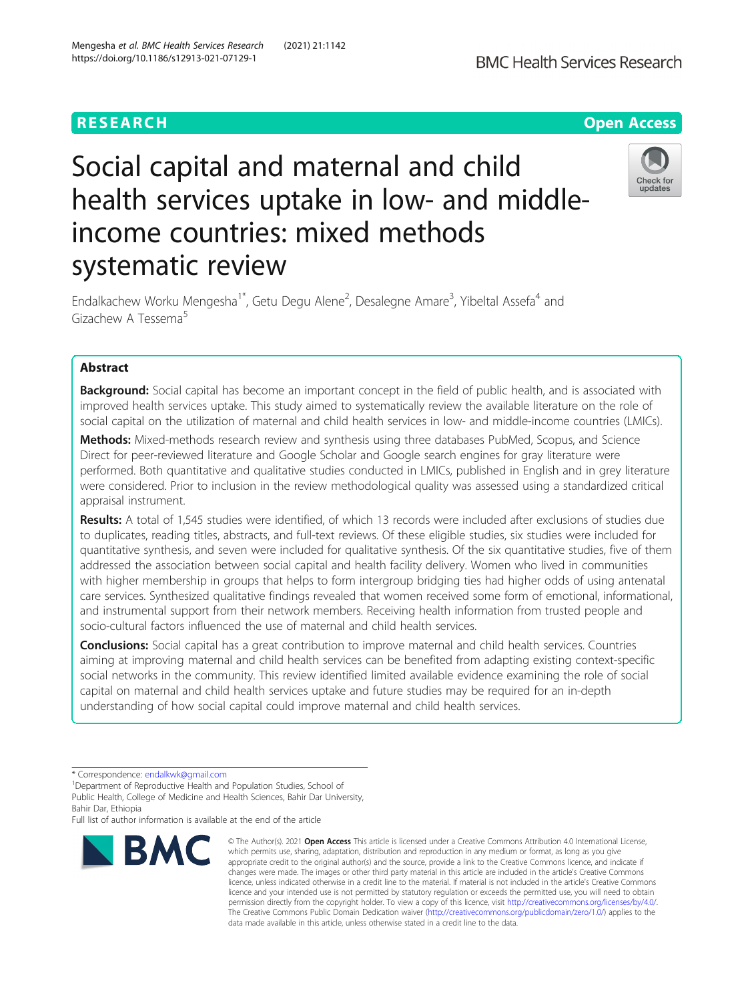# **RESEARCH CHEAR CHEAR CHEAR CHEAR CHEAR CHEAP CONTROL**

# Social capital and maternal and child health services uptake in low- and middleincome countries: mixed methods systematic review



Endalkachew Worku Mengesha<sup>1\*</sup>, Getu Degu Alene<sup>2</sup>, Desalegne Amare<sup>3</sup>, Yibeltal Assefa<sup>4</sup> and Gizachew A Tessema<sup>5</sup>

## Abstract

**Background:** Social capital has become an important concept in the field of public health, and is associated with improved health services uptake. This study aimed to systematically review the available literature on the role of social capital on the utilization of maternal and child health services in low- and middle-income countries (LMICs).

Methods: Mixed-methods research review and synthesis using three databases PubMed, Scopus, and Science Direct for peer-reviewed literature and Google Scholar and Google search engines for gray literature were performed. Both quantitative and qualitative studies conducted in LMICs, published in English and in grey literature were considered. Prior to inclusion in the review methodological quality was assessed using a standardized critical appraisal instrument.

Results: A total of 1,545 studies were identified, of which 13 records were included after exclusions of studies due to duplicates, reading titles, abstracts, and full-text reviews. Of these eligible studies, six studies were included for quantitative synthesis, and seven were included for qualitative synthesis. Of the six quantitative studies, five of them addressed the association between social capital and health facility delivery. Women who lived in communities with higher membership in groups that helps to form intergroup bridging ties had higher odds of using antenatal care services. Synthesized qualitative findings revealed that women received some form of emotional, informational, and instrumental support from their network members. Receiving health information from trusted people and socio-cultural factors influenced the use of maternal and child health services.

**Conclusions:** Social capital has a great contribution to improve maternal and child health services. Countries aiming at improving maternal and child health services can be benefited from adapting existing context-specific social networks in the community. This review identified limited available evidence examining the role of social capital on maternal and child health services uptake and future studies may be required for an in-depth understanding of how social capital could improve maternal and child health services.

Full list of author information is available at the end of the article



<sup>©</sup> The Author(s), 2021 **Open Access** This article is licensed under a Creative Commons Attribution 4.0 International License, which permits use, sharing, adaptation, distribution and reproduction in any medium or format, as long as you give appropriate credit to the original author(s) and the source, provide a link to the Creative Commons licence, and indicate if changes were made. The images or other third party material in this article are included in the article's Creative Commons licence, unless indicated otherwise in a credit line to the material. If material is not included in the article's Creative Commons licence and your intended use is not permitted by statutory regulation or exceeds the permitted use, you will need to obtain permission directly from the copyright holder. To view a copy of this licence, visit [http://creativecommons.org/licenses/by/4.0/.](http://creativecommons.org/licenses/by/4.0/) The Creative Commons Public Domain Dedication waiver [\(http://creativecommons.org/publicdomain/zero/1.0/](http://creativecommons.org/publicdomain/zero/1.0/)) applies to the data made available in this article, unless otherwise stated in a credit line to the data.

<sup>\*</sup> Correspondence: [endalkwk@gmail.com](mailto:endalkwk@gmail.com) <sup>1</sup>

<sup>&</sup>lt;sup>1</sup>Department of Reproductive Health and Population Studies, School of Public Health, College of Medicine and Health Sciences, Bahir Dar University, Bahir Dar, Ethiopia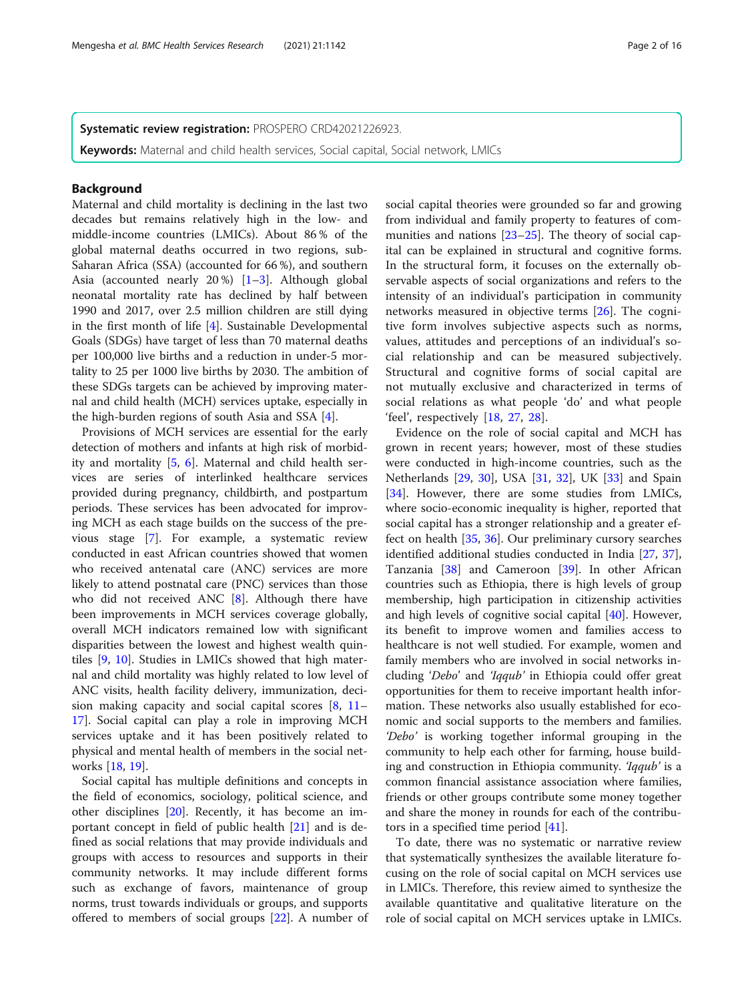Systematic review registration: PROSPERO CRD42021226923.

Keywords: Maternal and child health services, Social capital, Social network, LMICs

## Background

Maternal and child mortality is declining in the last two decades but remains relatively high in the low- and middle-income countries (LMICs). About 86 % of the global maternal deaths occurred in two regions, sub-Saharan Africa (SSA) (accounted for 66 %), and southern Asia (accounted nearly 20 %) [\[1](#page-13-0)–[3\]](#page-13-0). Although global neonatal mortality rate has declined by half between 1990 and 2017, over 2.5 million children are still dying in the first month of life [[4\]](#page-13-0). Sustainable Developmental Goals (SDGs) have target of less than 70 maternal deaths per 100,000 live births and a reduction in under-5 mortality to 25 per 1000 live births by 2030. The ambition of these SDGs targets can be achieved by improving maternal and child health (MCH) services uptake, especially in the high-burden regions of south Asia and SSA [[4\]](#page-13-0).

Provisions of MCH services are essential for the early detection of mothers and infants at high risk of morbidity and mortality [[5,](#page-13-0) [6](#page-13-0)]. Maternal and child health services are series of interlinked healthcare services provided during pregnancy, childbirth, and postpartum periods. These services has been advocated for improving MCH as each stage builds on the success of the previous stage [[7](#page-13-0)]. For example, a systematic review conducted in east African countries showed that women who received antenatal care (ANC) services are more likely to attend postnatal care (PNC) services than those who did not received ANC [[8\]](#page-13-0). Although there have been improvements in MCH services coverage globally, overall MCH indicators remained low with significant disparities between the lowest and highest wealth quintiles [\[9](#page-13-0), [10\]](#page-13-0). Studies in LMICs showed that high maternal and child mortality was highly related to low level of ANC visits, health facility delivery, immunization, decision making capacity and social capital scores [[8,](#page-13-0) [11](#page-13-0)– [17\]](#page-14-0). Social capital can play a role in improving MCH services uptake and it has been positively related to physical and mental health of members in the social networks [\[18,](#page-14-0) [19\]](#page-14-0).

Social capital has multiple definitions and concepts in the field of economics, sociology, political science, and other disciplines [[20\]](#page-14-0). Recently, it has become an important concept in field of public health [[21\]](#page-14-0) and is defined as social relations that may provide individuals and groups with access to resources and supports in their community networks. It may include different forms such as exchange of favors, maintenance of group norms, trust towards individuals or groups, and supports offered to members of social groups [[22](#page-14-0)]. A number of

social capital theories were grounded so far and growing from individual and family property to features of communities and nations [[23](#page-14-0)–[25\]](#page-14-0). The theory of social capital can be explained in structural and cognitive forms. In the structural form, it focuses on the externally observable aspects of social organizations and refers to the intensity of an individual's participation in community networks measured in objective terms [[26\]](#page-14-0). The cognitive form involves subjective aspects such as norms, values, attitudes and perceptions of an individual's social relationship and can be measured subjectively. Structural and cognitive forms of social capital are not mutually exclusive and characterized in terms of social relations as what people 'do' and what people 'feel', respectively [\[18](#page-14-0), [27](#page-14-0), [28\]](#page-14-0).

Evidence on the role of social capital and MCH has grown in recent years; however, most of these studies were conducted in high-income countries, such as the Netherlands [[29,](#page-14-0) [30\]](#page-14-0), USA [\[31](#page-14-0), [32](#page-14-0)], UK [[33\]](#page-14-0) and Spain [[34\]](#page-14-0). However, there are some studies from LMICs, where socio-economic inequality is higher, reported that social capital has a stronger relationship and a greater effect on health [[35,](#page-14-0) [36\]](#page-14-0). Our preliminary cursory searches identified additional studies conducted in India [[27,](#page-14-0) [37](#page-14-0)], Tanzania [\[38](#page-14-0)] and Cameroon [\[39](#page-14-0)]. In other African countries such as Ethiopia, there is high levels of group membership, high participation in citizenship activities and high levels of cognitive social capital [\[40](#page-14-0)]. However, its benefit to improve women and families access to healthcare is not well studied. For example, women and family members who are involved in social networks including 'Debo' and 'Iqqub' in Ethiopia could offer great opportunities for them to receive important health information. These networks also usually established for economic and social supports to the members and families. 'Debo' is working together informal grouping in the community to help each other for farming, house building and construction in Ethiopia community. 'Iqqub' is a common financial assistance association where families, friends or other groups contribute some money together and share the money in rounds for each of the contributors in a specified time period [[41](#page-14-0)].

To date, there was no systematic or narrative review that systematically synthesizes the available literature focusing on the role of social capital on MCH services use in LMICs. Therefore, this review aimed to synthesize the available quantitative and qualitative literature on the role of social capital on MCH services uptake in LMICs.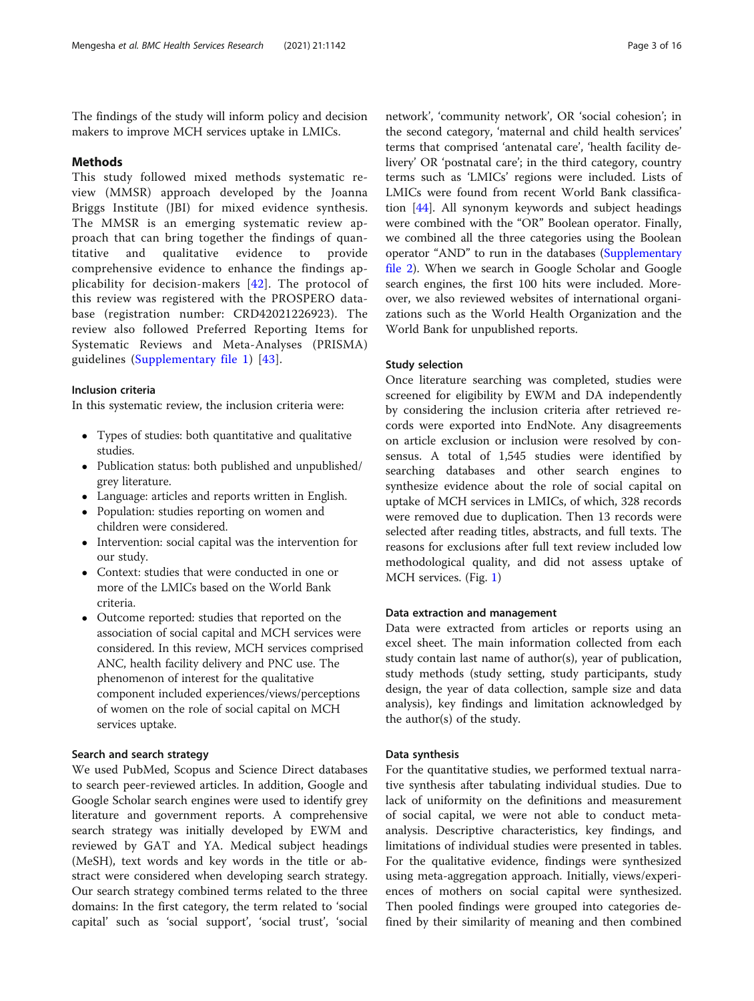The findings of the study will inform policy and decision makers to improve MCH services uptake in LMICs.

## Methods

This study followed mixed methods systematic review (MMSR) approach developed by the Joanna Briggs Institute (JBI) for mixed evidence synthesis. The MMSR is an emerging systematic review approach that can bring together the findings of quantitative and qualitative evidence to provide comprehensive evidence to enhance the findings applicability for decision-makers [\[42\]](#page-14-0). The protocol of this review was registered with the PROSPERO database (registration number: CRD42021226923). The review also followed Preferred Reporting Items for Systematic Reviews and Meta-Analyses (PRISMA) guidelines ([Supplementary file 1\)](#page-13-0) [\[43\]](#page-14-0).

## Inclusion criteria

In this systematic review, the inclusion criteria were:

- Types of studies: both quantitative and qualitative studies.
- Publication status: both published and unpublished/ grey literature.
- Language: articles and reports written in English.
- Population: studies reporting on women and children were considered.
- Intervention: social capital was the intervention for our study.
- Context: studies that were conducted in one or more of the LMICs based on the World Bank criteria.
- Outcome reported: studies that reported on the association of social capital and MCH services were considered. In this review, MCH services comprised ANC, health facility delivery and PNC use. The phenomenon of interest for the qualitative component included experiences/views/perceptions of women on the role of social capital on MCH services uptake.

## Search and search strategy

We used PubMed, Scopus and Science Direct databases to search peer-reviewed articles. In addition, Google and Google Scholar search engines were used to identify grey literature and government reports. A comprehensive search strategy was initially developed by EWM and reviewed by GAT and YA. Medical subject headings (MeSH), text words and key words in the title or abstract were considered when developing search strategy. Our search strategy combined terms related to the three domains: In the first category, the term related to 'social capital' such as 'social support', 'social trust', 'social

network', 'community network', OR 'social cohesion'; in the second category, 'maternal and child health services' terms that comprised 'antenatal care', 'health facility delivery' OR 'postnatal care'; in the third category, country terms such as 'LMICs' regions were included. Lists of LMICs were found from recent World Bank classification [[44\]](#page-14-0). All synonym keywords and subject headings were combined with the "OR" Boolean operator. Finally, we combined all the three categories using the Boolean operator "AND" to run in the databases [\(Supplementary](#page-13-0) [file 2](#page-13-0)). When we search in Google Scholar and Google search engines, the first 100 hits were included. Moreover, we also reviewed websites of international organizations such as the World Health Organization and the World Bank for unpublished reports.

#### Study selection

Once literature searching was completed, studies were screened for eligibility by EWM and DA independently by considering the inclusion criteria after retrieved records were exported into EndNote. Any disagreements on article exclusion or inclusion were resolved by consensus. A total of 1,545 studies were identified by searching databases and other search engines to synthesize evidence about the role of social capital on uptake of MCH services in LMICs, of which, 328 records were removed due to duplication. Then 13 records were selected after reading titles, abstracts, and full texts. The reasons for exclusions after full text review included low methodological quality, and did not assess uptake of MCH services. (Fig. [1](#page-3-0))

### Data extraction and management

Data were extracted from articles or reports using an excel sheet. The main information collected from each study contain last name of author(s), year of publication, study methods (study setting, study participants, study design, the year of data collection, sample size and data analysis), key findings and limitation acknowledged by the author(s) of the study.

### Data synthesis

For the quantitative studies, we performed textual narrative synthesis after tabulating individual studies. Due to lack of uniformity on the definitions and measurement of social capital, we were not able to conduct metaanalysis. Descriptive characteristics, key findings, and limitations of individual studies were presented in tables. For the qualitative evidence, findings were synthesized using meta-aggregation approach. Initially, views/experiences of mothers on social capital were synthesized. Then pooled findings were grouped into categories defined by their similarity of meaning and then combined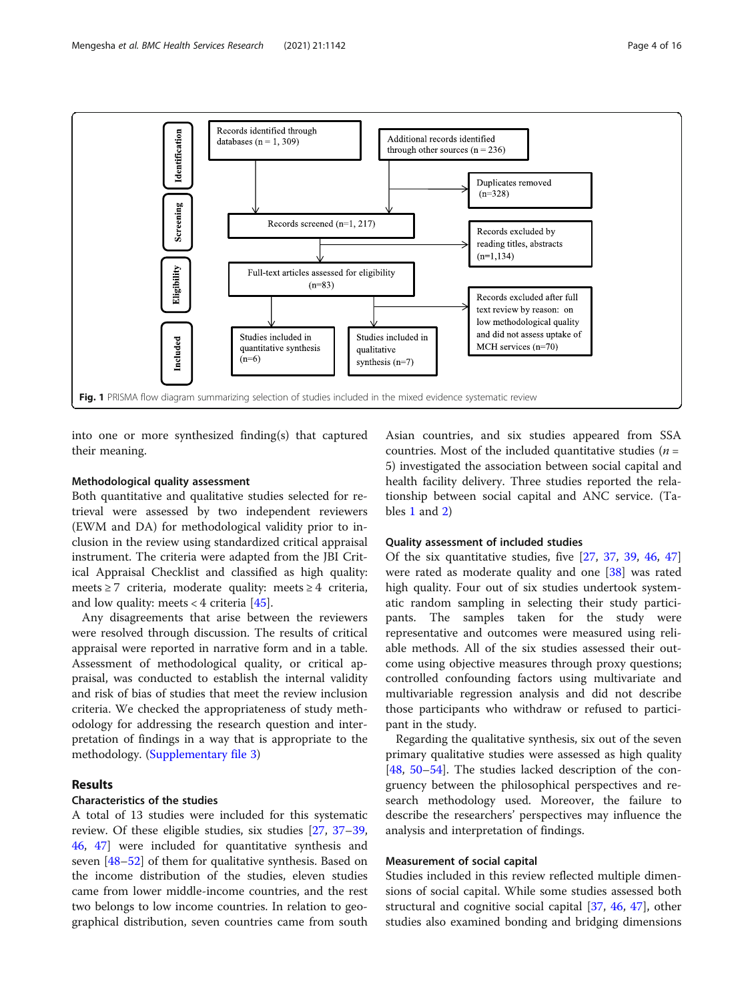<span id="page-3-0"></span>

into one or more synthesized finding(s) that captured their meaning.

## Methodological quality assessment

Both quantitative and qualitative studies selected for retrieval were assessed by two independent reviewers (EWM and DA) for methodological validity prior to inclusion in the review using standardized critical appraisal instrument. The criteria were adapted from the JBI Critical Appraisal Checklist and classified as high quality: meets ≥ 7 criteria, moderate quality: meets ≥ 4 criteria, and low quality: meets  $< 4$  criteria [[45\]](#page-14-0).

Any disagreements that arise between the reviewers were resolved through discussion. The results of critical appraisal were reported in narrative form and in a table. Assessment of methodological quality, or critical appraisal, was conducted to establish the internal validity and risk of bias of studies that meet the review inclusion criteria. We checked the appropriateness of study methodology for addressing the research question and interpretation of findings in a way that is appropriate to the methodology. [\(Supplementary file 3\)](#page-13-0)

## Results

## Characteristics of the studies

A total of 13 studies were included for this systematic review. Of these eligible studies, six studies [[27,](#page-14-0) [37](#page-14-0)–[39](#page-14-0), [46,](#page-14-0) [47\]](#page-14-0) were included for quantitative synthesis and seven [\[48](#page-14-0)–[52\]](#page-14-0) of them for qualitative synthesis. Based on the income distribution of the studies, eleven studies came from lower middle-income countries, and the rest two belongs to low income countries. In relation to geographical distribution, seven countries came from south

Asian countries, and six studies appeared from SSA countries. Most of the included quantitative studies ( $n =$ 5) investigated the association between social capital and health facility delivery. Three studies reported the relationship between social capital and ANC service. (Tables [1](#page-4-0) and [2](#page-7-0))

#### Quality assessment of included studies

Of the six quantitative studies, five [[27,](#page-14-0) [37,](#page-14-0) [39](#page-14-0), [46](#page-14-0), [47](#page-14-0)] were rated as moderate quality and one [\[38](#page-14-0)] was rated high quality. Four out of six studies undertook systematic random sampling in selecting their study participants. The samples taken for the study were representative and outcomes were measured using reliable methods. All of the six studies assessed their outcome using objective measures through proxy questions; controlled confounding factors using multivariate and multivariable regression analysis and did not describe those participants who withdraw or refused to participant in the study.

Regarding the qualitative synthesis, six out of the seven primary qualitative studies were assessed as high quality [[48,](#page-14-0) [50](#page-14-0)–[54\]](#page-14-0). The studies lacked description of the congruency between the philosophical perspectives and research methodology used. Moreover, the failure to describe the researchers' perspectives may influence the analysis and interpretation of findings.

## Measurement of social capital

Studies included in this review reflected multiple dimensions of social capital. While some studies assessed both structural and cognitive social capital [[37,](#page-14-0) [46](#page-14-0), [47\]](#page-14-0), other studies also examined bonding and bridging dimensions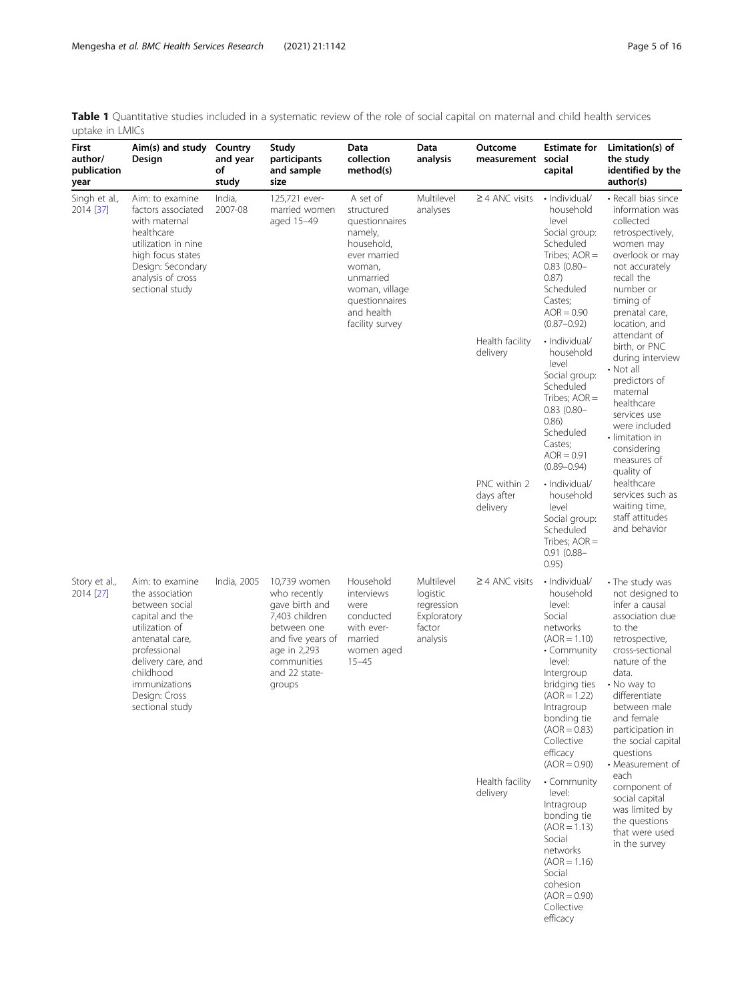<span id="page-4-0"></span>Table 1 Quantitative studies included in a systematic review of the role of social capital on maternal and child health services uptake in LMICs

| First<br>author/<br>publication<br>year | Aim(s) and study<br>Design                                                                                                                                                                                                                                                                                                                                                                                                                                                                                                                  | Country<br>and year<br>of<br>study      | Study<br>participants<br>and sample<br>size                                                                                                                                  | Data<br>collection<br>method(s)                                                                                                                                                                                                                   | Data<br>analysis                                                                                                                                                                                                                                                                          | Outcome<br>measurement social | Estimate for<br>capital                                                                                                                                                        | Limitation(s) of<br>the study<br>identified by the<br>author(s)                                                                                                                                      |
|-----------------------------------------|---------------------------------------------------------------------------------------------------------------------------------------------------------------------------------------------------------------------------------------------------------------------------------------------------------------------------------------------------------------------------------------------------------------------------------------------------------------------------------------------------------------------------------------------|-----------------------------------------|------------------------------------------------------------------------------------------------------------------------------------------------------------------------------|---------------------------------------------------------------------------------------------------------------------------------------------------------------------------------------------------------------------------------------------------|-------------------------------------------------------------------------------------------------------------------------------------------------------------------------------------------------------------------------------------------------------------------------------------------|-------------------------------|--------------------------------------------------------------------------------------------------------------------------------------------------------------------------------|------------------------------------------------------------------------------------------------------------------------------------------------------------------------------------------------------|
| Singh et al.,<br>2014 [37]              | Aim: to examine<br>factors associated<br>with maternal<br>healthcare<br>utilization in nine<br>high focus states<br>Design: Secondary<br>analysis of cross<br>sectional study                                                                                                                                                                                                                                                                                                                                                               | India,<br>2007-08                       | 125,721 ever-<br>married women<br>aged 15-49                                                                                                                                 | A set of<br>structured<br>questionnaires<br>namely,<br>household,<br>ever married<br>woman,<br>unmarried<br>woman, village<br>questionnaires<br>and health<br>facility survey                                                                     | Multilevel<br>analyses                                                                                                                                                                                                                                                                    | $\geq$ 4 ANC visits           | · Individual/<br>household<br>level<br>Social group:<br>Scheduled<br>Tribes; $AOR =$<br>$0.83$ $(0.80 -$<br>0.87)<br>Scheduled<br>Castes;<br>$AOR = 0.90$<br>$(0.87 - 0.92)$   | • Recall bias since<br>information was<br>collected<br>retrospectively,<br>women may<br>overlook or may<br>not accurately<br>recall the<br>number or<br>timing of<br>prenatal care,<br>location, and |
|                                         | delivery<br>delivery                                                                                                                                                                                                                                                                                                                                                                                                                                                                                                                        | Health facility                         | · Individual/<br>household<br>level<br>Social group:<br>Scheduled<br>Tribes; $AOR =$<br>$0.83$ $(0.80 -$<br>0.86)<br>Scheduled<br>Castes;<br>$AOR = 0.91$<br>$(0.89 - 0.94)$ | attendant of<br>birth, or PNC<br>during interview<br>• Not all<br>predictors of<br>maternal<br>healthcare<br>services use<br>were included<br>• limitation in<br>considering<br>measures of<br>quality of                                         |                                                                                                                                                                                                                                                                                           |                               |                                                                                                                                                                                |                                                                                                                                                                                                      |
|                                         |                                                                                                                                                                                                                                                                                                                                                                                                                                                                                                                                             |                                         | PNC within 2<br>days after                                                                                                                                                   | · Individual/<br>household<br>level<br>Social group:<br>Scheduled<br>Tribes; $AOR =$<br>$0.91(0.88 -$<br>0.95)                                                                                                                                    | healthcare<br>services such as<br>waiting time,<br>staff attitudes<br>and behavior                                                                                                                                                                                                        |                               |                                                                                                                                                                                |                                                                                                                                                                                                      |
| Story et al.,<br>2014 [27]              | 10,739 women<br>Household<br>Aim: to examine<br>India, 2005<br>the association<br>who recently<br>interviews<br>logistic<br>between social<br>gave birth and<br>were<br>7,403 children<br>capital and the<br>conducted<br>utilization of<br>factor<br>between one<br>with ever-<br>antenatal care,<br>and five years of<br>married<br>analysis<br>professional<br>age in 2,293<br>women aged<br>communities<br>delivery care, and<br>$15 - 45$<br>childhood<br>and 22 state-<br>immunizations<br>groups<br>Design: Cross<br>sectional study | Multilevel<br>regression<br>Exploratory | $\geq$ 4 ANC visits                                                                                                                                                          | · Individual/<br>household<br>level:<br>Social<br>networks<br>$(AOR = 1.10)$<br>• Community<br>level:<br>Intergroup<br>bridging ties<br>$(AOR = 1.22)$<br>Intragroup<br>bonding tie<br>$(AOR = 0.83)$<br>Collective<br>efficacy<br>$(AOR = 0.90)$ | • The study was<br>not designed to<br>infer a causal<br>association due<br>to the<br>retrospective,<br>cross-sectional<br>nature of the<br>data.<br>• No way to<br>differentiate<br>between male<br>and female<br>participation in<br>the social capital<br>questions<br>• Measurement of |                               |                                                                                                                                                                                |                                                                                                                                                                                                      |
|                                         |                                                                                                                                                                                                                                                                                                                                                                                                                                                                                                                                             |                                         |                                                                                                                                                                              |                                                                                                                                                                                                                                                   |                                                                                                                                                                                                                                                                                           | Health facility<br>delivery   | • Community<br>level:<br>Intragroup<br>bonding tie<br>$(AOR = 1.13)$<br>Social<br>networks<br>$(AOR = 1.16)$<br>Social<br>cohesion<br>$(AOR = 0.90)$<br>Collective<br>efficacy | each<br>component of<br>social capital<br>was limited by<br>the questions<br>that were used<br>in the survey                                                                                         |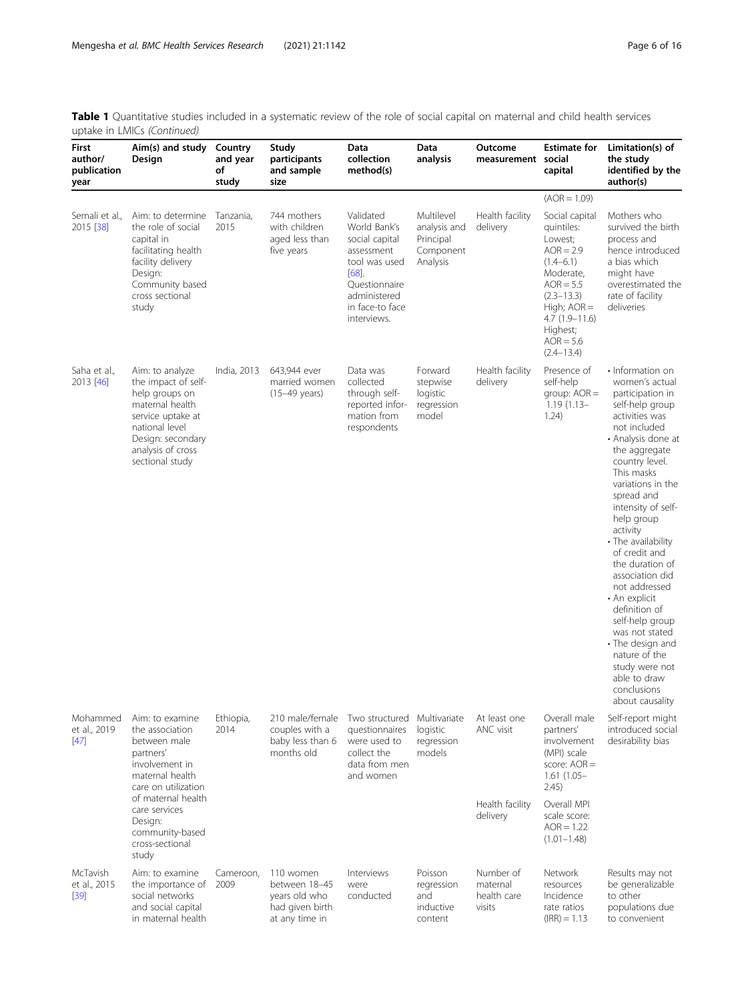Table 1 Quantitative studies included in a systematic review of the role of social capital on maternal and child health services uptake in LMICs (Continued)

| First<br>author/<br>publication<br>year | Aim(s) and study<br>Design                                                                                                                                                                                          | Country<br>and year<br>of<br>study | Study<br>participants<br>and sample<br>size                                      | Data<br>collection<br>method(s)                                                                                                                       | Data<br>analysis                                                 | Outcome<br>measurement social                            | <b>Estimate for</b><br>capital                                                                                                                                                                         | Limitation(s) of<br>the study<br>identified by the<br>author(s)                                                                                                                                                                                                                                                                                                                                                                                                                                                                                     |
|-----------------------------------------|---------------------------------------------------------------------------------------------------------------------------------------------------------------------------------------------------------------------|------------------------------------|----------------------------------------------------------------------------------|-------------------------------------------------------------------------------------------------------------------------------------------------------|------------------------------------------------------------------|----------------------------------------------------------|--------------------------------------------------------------------------------------------------------------------------------------------------------------------------------------------------------|-----------------------------------------------------------------------------------------------------------------------------------------------------------------------------------------------------------------------------------------------------------------------------------------------------------------------------------------------------------------------------------------------------------------------------------------------------------------------------------------------------------------------------------------------------|
|                                         |                                                                                                                                                                                                                     |                                    |                                                                                  |                                                                                                                                                       |                                                                  |                                                          | $(AOR = 1.09)$                                                                                                                                                                                         |                                                                                                                                                                                                                                                                                                                                                                                                                                                                                                                                                     |
| Semali et al.,<br>2015 [38]             | Aim: to determine<br>the role of social<br>capital in<br>facilitating health<br>facility delivery<br>Design:<br>Community based<br>cross sectional<br>study                                                         | Tanzania,<br>2015                  | 744 mothers<br>with children<br>aged less than<br>five years                     | Validated<br>World Bank's<br>social capital<br>assessment<br>tool was used<br>[68]<br>Questionnaire<br>administered<br>in face-to face<br>interviews. | Multilevel<br>analysis and<br>Principal<br>Component<br>Analysis | Health facility<br>delivery                              | Social capital<br>quintiles:<br>Lowest;<br>$AOR = 2.9$<br>$(1.4 - 6.1)$<br>Moderate,<br>$AOR = 5.5$<br>$(2.3 - 13.3)$<br>High; $AOR =$<br>$4.7(1.9-11.6)$<br>Highest;<br>$AOR = 5.6$<br>$(2.4 - 13.4)$ | Mothers who<br>survived the birth<br>process and<br>hence introduced<br>a bias which<br>might have<br>overestimated the<br>rate of facility<br>deliveries                                                                                                                                                                                                                                                                                                                                                                                           |
| Saha et al.,<br>2013 [46]               | Aim: to analyze<br>the impact of self-<br>help groups on<br>maternal health<br>service uptake at<br>national level<br>Design: secondary<br>analysis of cross<br>sectional study                                     | India, 2013                        | 643,944 ever<br>married women<br>(15-49 years)                                   | Data was<br>collected<br>through self-<br>reported infor-<br>mation from<br>respondents                                                               | Forward<br>stepwise<br>logistic<br>regression<br>model           | Health facility<br>delivery                              | Presence of<br>self-help<br>group: $AOR =$<br>$1.19(1.13 -$<br>1.24)                                                                                                                                   | • Information on<br>women's actual<br>participation in<br>self-help group<br>activities was<br>not included<br>• Analysis done at<br>the aggregate<br>country level.<br>This masks<br>variations in the<br>spread and<br>intensity of self-<br>help group<br>activity<br>• The availability<br>of credit and<br>the duration of<br>association did<br>not addressed<br>• An explicit<br>definition of<br>self-help group<br>was not stated<br>• The design and<br>nature of the<br>study were not<br>able to draw<br>conclusions<br>about causality |
| Mohammed<br>et al., 2019<br>$[47]$      | Aim: to examine<br>the association<br>between male<br>partners'<br>involvement in<br>maternal health<br>care on utilization<br>of maternal health<br>care services<br>Design:<br>community-based<br>cross-sectional | Ethiopia,<br>2014                  | 210 male/female<br>couples with a<br>baby less than 6<br>months old              | Two structured<br>questionnaires<br>were used to<br>collect the<br>data from men<br>and women                                                         | Multivariate<br>logistic<br>regression<br>models                 | At least one<br>ANC visit<br>Health facility<br>delivery | Overall male<br>partners'<br>involvement<br>(MPI) scale<br>score: $AOR =$<br>$1.61(1.05 -$<br>2.45)<br>Overall MPI<br>scale score:<br>$AOR = 1.22$<br>$(1.01 - 1.48)$                                  | Self-report might<br>introduced social<br>desirability bias                                                                                                                                                                                                                                                                                                                                                                                                                                                                                         |
| McTavish<br>et al., 2015<br>$[39]$      | study<br>Aim: to examine<br>the importance of<br>social networks<br>and social capital<br>in maternal health                                                                                                        | Cameroon,<br>2009                  | 110 women<br>between 18-45<br>years old who<br>had given birth<br>at any time in | Interviews<br>were<br>conducted                                                                                                                       | Poisson<br>regression<br>and<br>inductive<br>content             | Number of<br>maternal<br>health care<br>visits           | Network<br>resources<br>Incidence<br>rate ratios<br>$(IRR) = 1.13$                                                                                                                                     | Results may not<br>be generalizable<br>to other<br>populations due<br>to convenient                                                                                                                                                                                                                                                                                                                                                                                                                                                                 |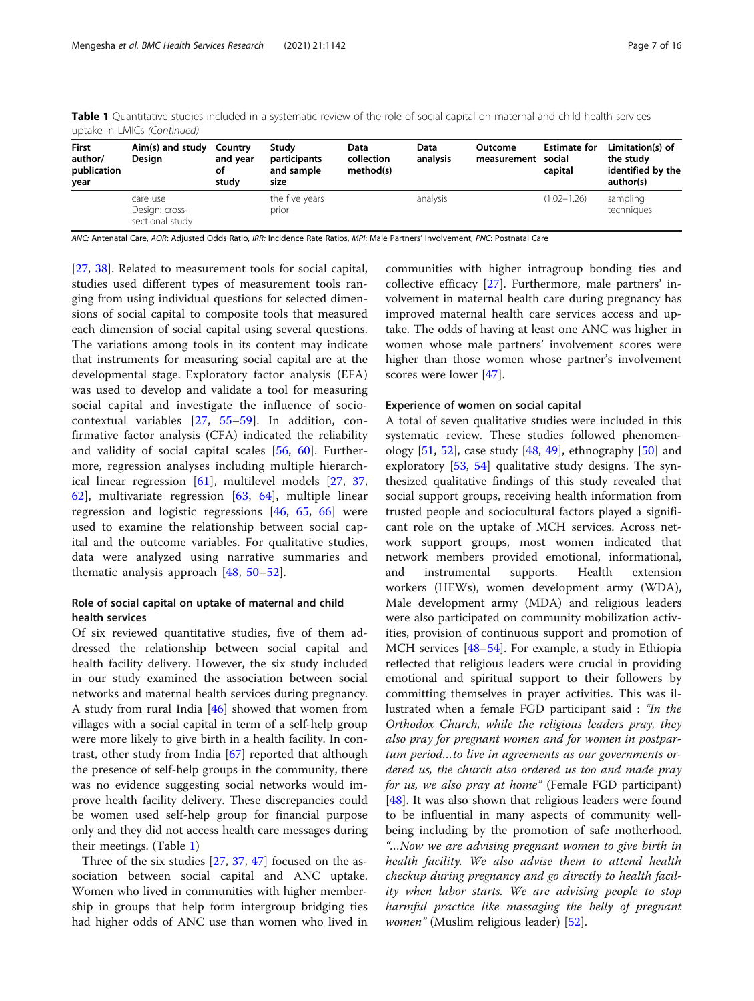| aptane in Liviles (correlated)                 |                                               |                                    |                                             |                                 |                  |                               |                                |                                                                 |  |
|------------------------------------------------|-----------------------------------------------|------------------------------------|---------------------------------------------|---------------------------------|------------------|-------------------------------|--------------------------------|-----------------------------------------------------------------|--|
| <b>First</b><br>author/<br>publication<br>year | Aim(s) and study<br>Design                    | Country<br>and year<br>οf<br>study | Studv<br>participants<br>and sample<br>size | Data<br>collection<br>method(s) | Data<br>analysis | Outcome<br>measurement social | <b>Estimate for</b><br>capital | Limitation(s) of<br>the study<br>identified by the<br>author(s) |  |
|                                                | care use<br>Design: cross-<br>sectional study |                                    | the five years<br>prior                     |                                 | analysis         |                               | $(1.02 - 1.26)$                | sampling<br>techniques                                          |  |

Table 1 Quantitative studies included in a systematic review of the role of social capital on maternal and child health services uptake in LMICs (Continued)

ANC: Antenatal Care, AOR: Adjusted Odds Ratio, IRR: Incidence Rate Ratios, MPI: Male Partners' Involvement, PNC: Postnatal Care

[[27,](#page-14-0) [38\]](#page-14-0). Related to measurement tools for social capital, studies used different types of measurement tools ranging from using individual questions for selected dimensions of social capital to composite tools that measured each dimension of social capital using several questions. The variations among tools in its content may indicate that instruments for measuring social capital are at the developmental stage. Exploratory factor analysis (EFA) was used to develop and validate a tool for measuring social capital and investigate the influence of sociocontextual variables [[27](#page-14-0), [55](#page-14-0)–[59](#page-15-0)]. In addition, confirmative factor analysis (CFA) indicated the reliability and validity of social capital scales [[56,](#page-14-0) [60](#page-15-0)]. Furthermore, regression analyses including multiple hierarchical linear regression [[61\]](#page-15-0), multilevel models [[27,](#page-14-0) [37](#page-14-0), [62\]](#page-15-0), multivariate regression [\[63](#page-15-0), [64\]](#page-15-0), multiple linear regression and logistic regressions [\[46](#page-14-0), [65](#page-15-0), [66](#page-15-0)] were used to examine the relationship between social capital and the outcome variables. For qualitative studies, data were analyzed using narrative summaries and thematic analysis approach [\[48,](#page-14-0) [50](#page-14-0)–[52\]](#page-14-0).

## Role of social capital on uptake of maternal and child health services

Of six reviewed quantitative studies, five of them addressed the relationship between social capital and health facility delivery. However, the six study included in our study examined the association between social networks and maternal health services during pregnancy. A study from rural India [[46\]](#page-14-0) showed that women from villages with a social capital in term of a self-help group were more likely to give birth in a health facility. In contrast, other study from India [[67\]](#page-15-0) reported that although the presence of self-help groups in the community, there was no evidence suggesting social networks would improve health facility delivery. These discrepancies could be women used self-help group for financial purpose only and they did not access health care messages during their meetings. (Table [1](#page-4-0))

Three of the six studies [\[27](#page-14-0), [37](#page-14-0), [47](#page-14-0)] focused on the association between social capital and ANC uptake. Women who lived in communities with higher membership in groups that help form intergroup bridging ties had higher odds of ANC use than women who lived in

communities with higher intragroup bonding ties and collective efficacy [[27\]](#page-14-0). Furthermore, male partners' involvement in maternal health care during pregnancy has improved maternal health care services access and uptake. The odds of having at least one ANC was higher in women whose male partners' involvement scores were higher than those women whose partner's involvement scores were lower [[47\]](#page-14-0).

#### Experience of women on social capital

A total of seven qualitative studies were included in this systematic review. These studies followed phenomenology  $[51, 52]$  $[51, 52]$  $[51, 52]$  $[51, 52]$ , case study  $[48, 49]$  $[48, 49]$  $[48, 49]$  $[48, 49]$ , ethnography  $[50]$  $[50]$  and exploratory [[53](#page-14-0), [54\]](#page-14-0) qualitative study designs. The synthesized qualitative findings of this study revealed that social support groups, receiving health information from trusted people and sociocultural factors played a significant role on the uptake of MCH services. Across network support groups, most women indicated that network members provided emotional, informational, and instrumental supports. Health extension workers (HEWs), women development army (WDA), Male development army (MDA) and religious leaders were also participated on community mobilization activities, provision of continuous support and promotion of MCH services [\[48](#page-14-0)–[54\]](#page-14-0). For example, a study in Ethiopia reflected that religious leaders were crucial in providing emotional and spiritual support to their followers by committing themselves in prayer activities. This was illustrated when a female FGD participant said : "In the Orthodox Church, while the religious leaders pray, they also pray for pregnant women and for women in postpartum period…to live in agreements as our governments ordered us, the church also ordered us too and made pray for us, we also pray at home" (Female FGD participant) [[48\]](#page-14-0). It was also shown that religious leaders were found to be influential in many aspects of community wellbeing including by the promotion of safe motherhood. "…Now we are advising pregnant women to give birth in health facility. We also advise them to attend health checkup during pregnancy and go directly to health facility when labor starts. We are advising people to stop harmful practice like massaging the belly of pregnant women" (Muslim religious leader) [[52\]](#page-14-0).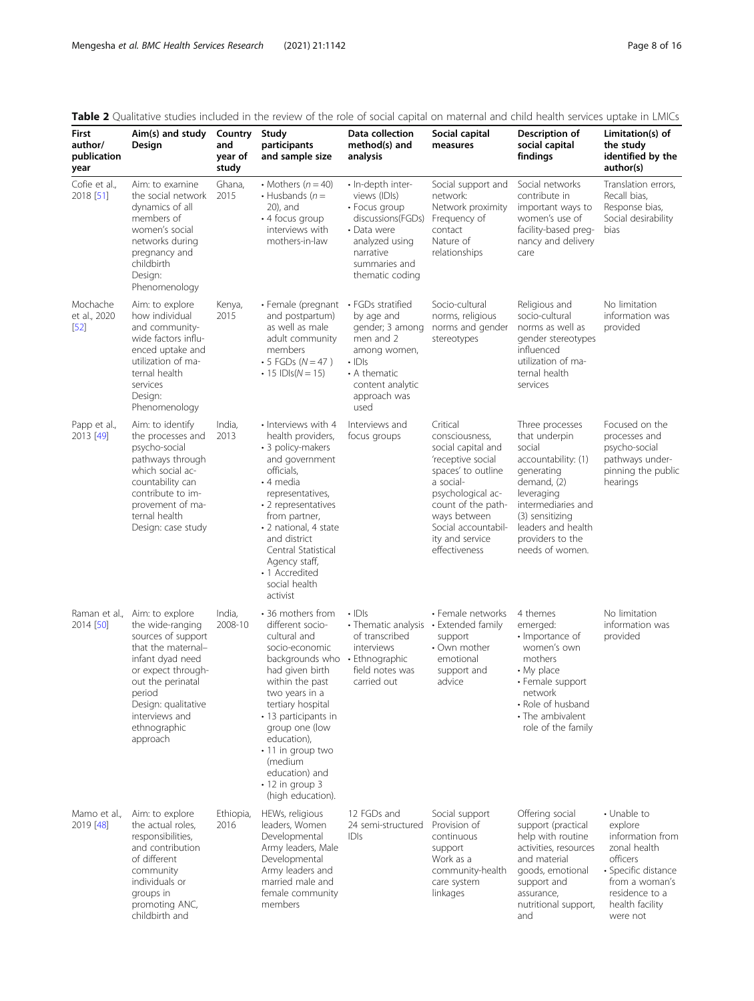| First<br>author/<br>publication<br>year | Aim(s) and study<br>Design                                                                                                                                                                                                    | Country<br>and<br>year of<br>study | Study<br>participants<br>and sample size                                                                                                                                                                                                                                                                                         | Data collection<br>method(s) and<br>analysis                                                                                                                | Social capital<br>measures                                                                                                                                                                                                     | Description of<br>social capital<br>findings                                                                                                                                                                       | Limitation(s) of<br>the study<br>identified by the<br>author(s)                                                                                                  |
|-----------------------------------------|-------------------------------------------------------------------------------------------------------------------------------------------------------------------------------------------------------------------------------|------------------------------------|----------------------------------------------------------------------------------------------------------------------------------------------------------------------------------------------------------------------------------------------------------------------------------------------------------------------------------|-------------------------------------------------------------------------------------------------------------------------------------------------------------|--------------------------------------------------------------------------------------------------------------------------------------------------------------------------------------------------------------------------------|--------------------------------------------------------------------------------------------------------------------------------------------------------------------------------------------------------------------|------------------------------------------------------------------------------------------------------------------------------------------------------------------|
| Cofie et al.,<br>2018 [51]              | Aim: to examine<br>the social network<br>dynamics of all<br>members of<br>women's social<br>networks during<br>pregnancy and<br>childbirth<br>Design:<br>Phenomenology                                                        | Ghana,<br>2015                     | • Mothers $(n = 40)$<br>$\cdot$ Husbands ( $n =$<br>20), and<br>$\cdot$ 4 focus group<br>interviews with<br>mothers-in-law                                                                                                                                                                                                       | · In-depth inter-<br>views (IDIs)<br>• Focus group<br>discussions(FGDs)<br>• Data were<br>analyzed using<br>narrative<br>summaries and<br>thematic coding   | Social support and<br>network:<br>Network proximity<br>Frequency of<br>contact<br>Nature of<br>relationships                                                                                                                   | Social networks<br>contribute in<br>important ways to<br>women's use of<br>facility-based preg-<br>nancy and delivery<br>care                                                                                      | Translation errors,<br>Recall bias,<br>Response bias,<br>Social desirability<br>bias                                                                             |
| Mochache<br>et al., 2020<br>$[52]$      | Aim: to explore<br>how individual<br>and community-<br>wide factors influ-<br>enced uptake and<br>utilization of ma-<br>ternal health<br>services<br>Design:<br>Phenomenology                                                 | Kenya,<br>2015                     | · Female (pregnant<br>and postpartum)<br>as well as male<br>adult community<br>members<br>• 5 FGDs ( $N = 47$ )<br>• 15 $ D s(N = 15)$                                                                                                                                                                                           | • FGDs stratified<br>by age and<br>gender; 3 among<br>men and 2<br>among women,<br>$\cdot$ IDIs<br>• A thematic<br>content analytic<br>approach was<br>used | Socio-cultural<br>norms, religious<br>norms and gender<br>stereotypes                                                                                                                                                          | Religious and<br>socio-cultural<br>norms as well as<br>gender stereotypes<br>influenced<br>utilization of ma-<br>ternal health<br>services                                                                         | No limitation<br>information was<br>provided                                                                                                                     |
| Papp et al.,<br>2013 [49]               | Aim: to identify<br>the processes and<br>psycho-social<br>pathways through<br>which social ac-<br>countability can<br>contribute to im-<br>provement of ma-<br>ternal health<br>Design: case study                            | India,<br>2013                     | • Interviews with 4<br>health providers,<br>• 3 policy-makers<br>and government<br>officials,<br>• 4 media<br>representatives,<br>• 2 representatives<br>from partner,<br>• 2 national, 4 state<br>and district<br>Central Statistical<br>Agency staff,<br>• 1 Accredited<br>social health<br>activist                           | Interviews and<br>focus groups                                                                                                                              | Critical<br>consciousness,<br>social capital and<br>'receptive social<br>spaces' to outline<br>a social-<br>psychological ac-<br>count of the path-<br>ways between<br>Social accountabil-<br>ity and service<br>effectiveness | Three processes<br>that underpin<br>social<br>accountability: (1)<br>generating<br>demand, (2)<br>leveraging<br>intermediaries and<br>(3) sensitizing<br>leaders and health<br>providers to the<br>needs of women. | Focused on the<br>processes and<br>psycho-social<br>pathways under-<br>pinning the public<br>hearings                                                            |
| Raman et al.,<br>2014 [50]              | Aim: to explore<br>the wide-ranging<br>sources of support<br>that the maternal-<br>infant dyad need<br>or expect through-<br>out the perinatal<br>period<br>Design: qualitative<br>interviews and<br>ethnographic<br>approach | India,<br>2008-10                  | • 36 mothers from<br>different socio-<br>cultural and<br>socio-economic<br>backgrounds who<br>had given birth<br>within the past<br>two years in a<br>tertiary hospital<br>· 13 participants in<br>group one (low<br>education),<br>· 11 in group two<br>(medium<br>education) and<br>$\cdot$ 12 in group 3<br>(high education). | $\cdot$ IDIs<br>• Thematic analysis • Extended family<br>of transcribed<br>interviews<br>• Ethnographic<br>field notes was<br>carried out                   | • Female networks<br>support<br>• Own mother<br>emotional<br>support and<br>advice                                                                                                                                             | 4 themes<br>emerged:<br>· Importance of<br>women's own<br>mothers<br>$\cdot$ My place<br>• Female support<br>network<br>• Role of husband<br>• The ambivalent<br>role of the family                                | No limitation<br>information was<br>provided                                                                                                                     |
| Mamo et al.,<br>2019 [48]               | Aim: to explore<br>the actual roles,<br>responsibilities,<br>and contribution<br>of different<br>community<br>individuals or<br>groups in<br>promoting ANC,<br>childbirth and                                                 | Ethiopia,<br>2016                  | HEWs, religious<br>leaders, Women<br>Developmental<br>Army leaders, Male<br>Developmental<br>Army leaders and<br>married male and<br>female community<br>members                                                                                                                                                                 | 12 FGDs and<br>24 semi-structured<br>IDIs                                                                                                                   | Social support<br>Provision of<br>continuous<br>support<br>Work as a<br>community-health<br>care system<br>linkages                                                                                                            | Offering social<br>support (practical<br>help with routine<br>activities, resources<br>and material<br>goods, emotional<br>support and<br>assurance,<br>nutritional support,<br>and                                | • Unable to<br>explore<br>information from<br>zonal health<br>officers<br>• Specific distance<br>from a woman's<br>residence to a<br>health facility<br>were not |

# <span id="page-7-0"></span>Table 2 Qualitative studies included in the review of the role of social capital on maternal and child health services uptake in LMICs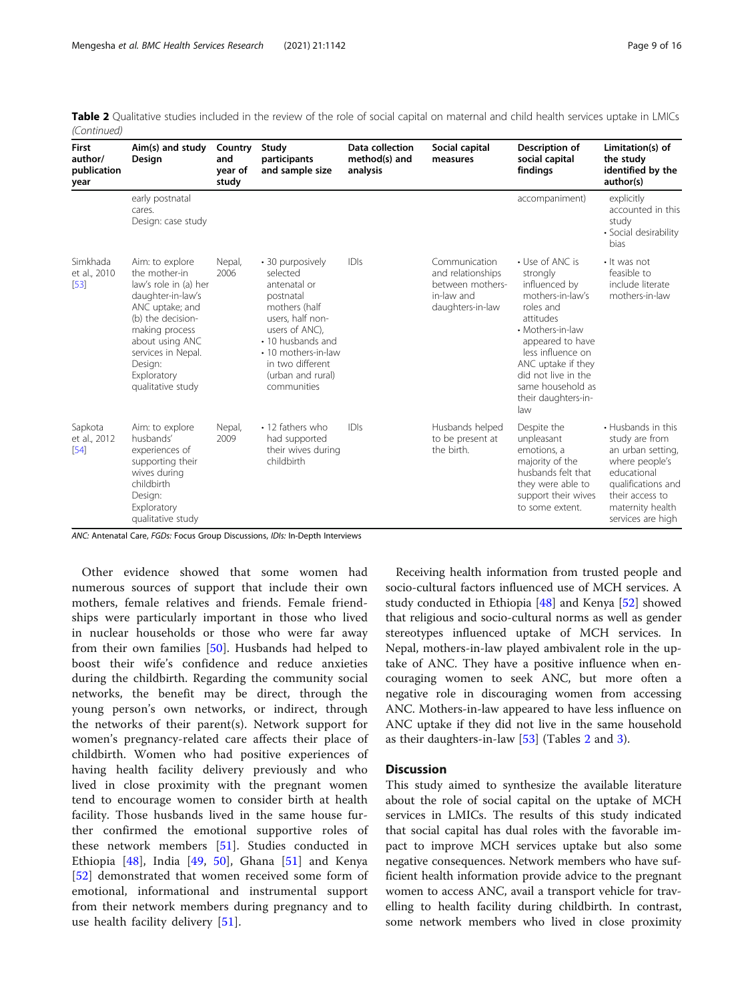| <b>First</b><br>author/<br>publication<br>year | Aim(s) and study<br>Design                                                                                                                                                                                                       | Country<br>and<br>year of<br>study | Study<br>participants<br>and sample size                                                                                                                                                                             | Data collection<br>method(s) and<br>analysis | Social capital<br>measures                                                               | Description of<br>social capital<br>findings                                                                                                                                                                                                            | Limitation(s) of<br>the study<br>identified by the<br>author(s)                                                                                                              |
|------------------------------------------------|----------------------------------------------------------------------------------------------------------------------------------------------------------------------------------------------------------------------------------|------------------------------------|----------------------------------------------------------------------------------------------------------------------------------------------------------------------------------------------------------------------|----------------------------------------------|------------------------------------------------------------------------------------------|---------------------------------------------------------------------------------------------------------------------------------------------------------------------------------------------------------------------------------------------------------|------------------------------------------------------------------------------------------------------------------------------------------------------------------------------|
|                                                | early postnatal<br>cares.<br>Design: case study                                                                                                                                                                                  |                                    |                                                                                                                                                                                                                      |                                              |                                                                                          | accompaniment)                                                                                                                                                                                                                                          | explicitly<br>accounted in this<br>study<br>• Social desirability<br>bias                                                                                                    |
| Simkhada<br>et al., 2010<br>[53]               | Aim: to explore<br>the mother-in<br>law's role in (a) her<br>daughter-in-law's<br>ANC uptake; and<br>(b) the decision-<br>making process<br>about using ANC<br>services in Nepal.<br>Design:<br>Exploratory<br>qualitative study | Nepal,<br>2006                     | • 30 purposively<br>selected<br>antenatal or<br>postnatal<br>mothers (half<br>users, half non-<br>users of ANC).<br>• 10 husbands and<br>• 10 mothers-in-law<br>in two different<br>(urban and rural)<br>communities | IDIs                                         | Communication<br>and relationships<br>between mothers-<br>in-law and<br>daughters-in-law | • Use of ANC is<br>strongly<br>influenced by<br>mothers-in-law's<br>roles and<br>attitudes<br>• Mothers-in-law<br>appeared to have<br>less influence on<br>ANC uptake if they<br>did not live in the<br>same household as<br>their daughters-in-<br>law | • It was not<br>feasible to<br>include literate<br>mothers-in-law                                                                                                            |
| Sapkota<br>et al., 2012<br>[54]                | Aim: to explore<br>husbands'<br>experiences of<br>supporting their<br>wives during<br>childbirth<br>Design:<br>Exploratory<br>qualitative study                                                                                  | Nepal,<br>2009                     | • 12 fathers who<br>had supported<br>their wives during<br>childbirth                                                                                                                                                | IDIs                                         | Husbands helped<br>to be present at<br>the birth.                                        | Despite the<br>unpleasant<br>emotions, a<br>majority of the<br>husbands felt that<br>they were able to<br>support their wives<br>to some extent.                                                                                                        | • Husbands in this<br>study are from<br>an urban setting,<br>where people's<br>educational<br>qualifications and<br>their access to<br>maternity health<br>services are high |

Table 2 Qualitative studies included in the review of the role of social capital on maternal and child health services uptake in LMICs (Continued)

ANC: Antenatal Care, FGDs: Focus Group Discussions, IDIs: In-Depth Interviews

Other evidence showed that some women had numerous sources of support that include their own mothers, female relatives and friends. Female friendships were particularly important in those who lived in nuclear households or those who were far away from their own families [[50\]](#page-14-0). Husbands had helped to boost their wife's confidence and reduce anxieties during the childbirth. Regarding the community social networks, the benefit may be direct, through the young person's own networks, or indirect, through the networks of their parent(s). Network support for women's pregnancy-related care affects their place of childbirth. Women who had positive experiences of having health facility delivery previously and who lived in close proximity with the pregnant women tend to encourage women to consider birth at health facility. Those husbands lived in the same house further confirmed the emotional supportive roles of these network members [[51\]](#page-14-0). Studies conducted in Ethiopia [[48\]](#page-14-0), India [[49,](#page-14-0) [50\]](#page-14-0), Ghana [[51\]](#page-14-0) and Kenya [[52\]](#page-14-0) demonstrated that women received some form of emotional, informational and instrumental support from their network members during pregnancy and to use health facility delivery [\[51](#page-14-0)].

Receiving health information from trusted people and socio-cultural factors influenced use of MCH services. A study conducted in Ethiopia [\[48](#page-14-0)] and Kenya [[52\]](#page-14-0) showed that religious and socio-cultural norms as well as gender stereotypes influenced uptake of MCH services. In Nepal, mothers-in-law played ambivalent role in the uptake of ANC. They have a positive influence when encouraging women to seek ANC, but more often a negative role in discouraging women from accessing ANC. Mothers-in-law appeared to have less influence on ANC uptake if they did not live in the same household as their daughters-in-law [[53\]](#page-14-0) (Tables [2](#page-7-0) and [3](#page-9-0)).

#### **Discussion**

This study aimed to synthesize the available literature about the role of social capital on the uptake of MCH services in LMICs. The results of this study indicated that social capital has dual roles with the favorable impact to improve MCH services uptake but also some negative consequences. Network members who have sufficient health information provide advice to the pregnant women to access ANC, avail a transport vehicle for travelling to health facility during childbirth. In contrast, some network members who lived in close proximity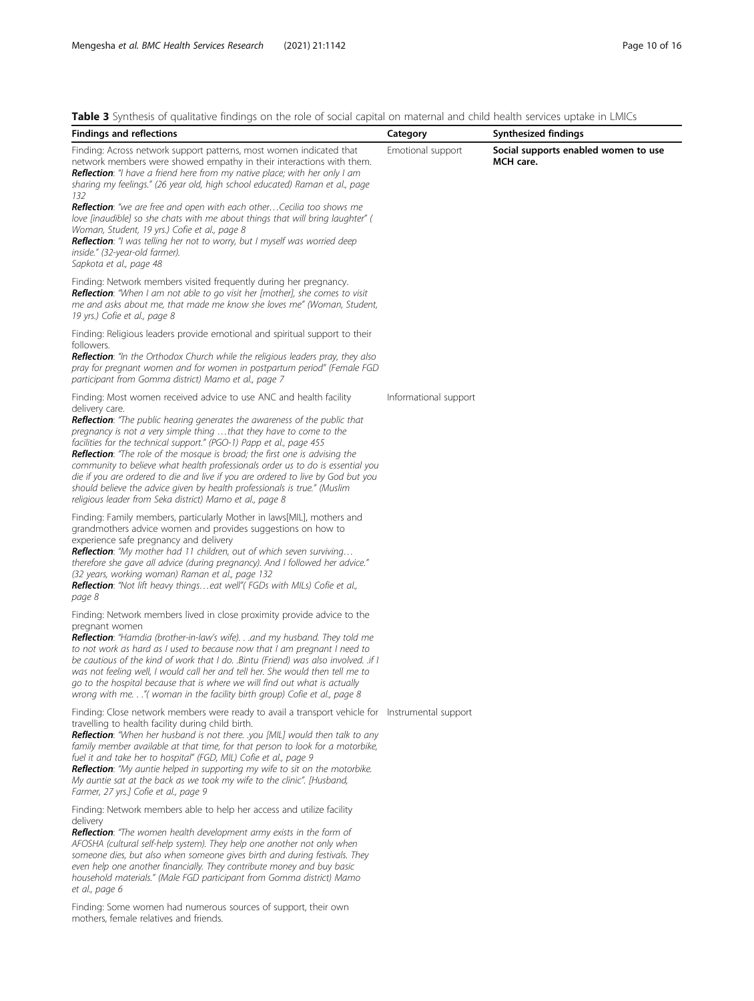<span id="page-9-0"></span>

|  |  | <b>Table 3</b> Synthesis of qualitative findings on the role of social capital on maternal and child health services uptake in LMICs |  |  |  |  |  |  |  |  |  |
|--|--|--------------------------------------------------------------------------------------------------------------------------------------|--|--|--|--|--|--|--|--|--|
|--|--|--------------------------------------------------------------------------------------------------------------------------------------|--|--|--|--|--|--|--|--|--|

| <b>Table 3</b> Synthesis of Qualitative infunitys on the fole of social capital on material and child nealth services uptake in Livilcs<br><b>Findings and reflections</b>                                                                                                                                                                                                                                                                                                                                                                                                                                                                                                                                                    | Category              | Synthesized findings                              |
|-------------------------------------------------------------------------------------------------------------------------------------------------------------------------------------------------------------------------------------------------------------------------------------------------------------------------------------------------------------------------------------------------------------------------------------------------------------------------------------------------------------------------------------------------------------------------------------------------------------------------------------------------------------------------------------------------------------------------------|-----------------------|---------------------------------------------------|
| Finding: Across network support patterns, most women indicated that<br>network members were showed empathy in their interactions with them.<br>Reflection: "I have a friend here from my native place; with her only I am<br>sharing my feelings." (26 year old, high school educated) Raman et al., page<br>132                                                                                                                                                                                                                                                                                                                                                                                                              | Emotional support     | Social supports enabled women to use<br>MCH care. |
| Reflection: "we are free and open with each other Cecilia too shows me<br>love [inaudible] so she chats with me about things that will bring laughter" (<br>Woman, Student, 19 yrs.) Cofie et al., page 8<br>Reflection: "I was telling her not to worry, but I myself was worried deep<br>inside." (32-year-old farmer).<br>Sapkota et al., page 48                                                                                                                                                                                                                                                                                                                                                                          |                       |                                                   |
| Finding: Network members visited frequently during her pregnancy.<br>Reflection: "When I am not able to go visit her [mother], she comes to visit<br>me and asks about me, that made me know she loves me" (Woman, Student,<br>19 yrs.) Cofie et al., page 8                                                                                                                                                                                                                                                                                                                                                                                                                                                                  |                       |                                                   |
| Finding: Religious leaders provide emotional and spiritual support to their<br>followers.<br>Reflection: "In the Orthodox Church while the religious leaders pray, they also<br>pray for pregnant women and for women in postpartum period" (Female FGD<br>participant from Gomma district) Mamo et al., page 7                                                                                                                                                                                                                                                                                                                                                                                                               |                       |                                                   |
| Finding: Most women received advice to use ANC and health facility<br>delivery care.<br><b>Reflection:</b> "The public hearing generates the awareness of the public that<br>pregnancy is not a very simple thing that they have to come to the<br>facilities for the technical support." (PGO-1) Papp et al., page 455<br><b>Reflection</b> : "The role of the mosque is broad; the first one is advising the<br>community to believe what health professionals order us to do is essential you<br>die if you are ordered to die and live if you are ordered to live by God but you<br>should believe the advice given by health professionals is true." (Muslim<br>religious leader from Seka district) Mamo et al., page 8 | Informational support |                                                   |
| Finding: Family members, particularly Mother in laws[MIL], mothers and<br>grandmothers advice women and provides suggestions on how to<br>experience safe pregnancy and delivery<br>Reflection: "My mother had 11 children, out of which seven surviving<br>therefore she gave all advice (during pregnancy). And I followed her advice."<br>(32 years, working woman) Raman et al., page 132<br>Reflection: "Not lift heavy thingseat well" (FGDs with MILs) Cofie et al.,<br>page 8                                                                                                                                                                                                                                         |                       |                                                   |
| Finding: Network members lived in close proximity provide advice to the<br>pregnant women<br>Reflection: "Hamdia (brother-in-law's wife). and my husband. They told me<br>to not work as hard as I used to because now that I am pregnant I need to<br>be cautious of the kind of work that I do. .Bintu (Friend) was also involved. .if I<br>was not feeling well, I would call her and tell her. She would then tell me to<br>go to the hospital because that is where we will find out what is actually<br>wrong with me."( woman in the facility birth group) Cofie et al., page 8                                                                                                                                        |                       |                                                   |
| Finding: Close network members were ready to avail a transport vehicle for Instrumental support<br>travelling to health facility during child birth.<br>Reflection: "When her husband is not there. . you [MIL] would then talk to any<br>family member available at that time, for that person to look for a motorbike,<br>fuel it and take her to hospital" (FGD, MIL) Cofie et al., page 9<br>Reflection: "My auntie helped in supporting my wife to sit on the motorbike.<br>My auntie sat at the back as we took my wife to the clinic". [Husband,<br>Farmer, 27 yrs.] Cofie et al., page 9                                                                                                                              |                       |                                                   |
| Finding: Network members able to help her access and utilize facility<br>delivery<br>Reflection: "The women health development army exists in the form of<br>AFOSHA (cultural self-help system). They help one another not only when<br>someone dies, but also when someone gives birth and during festivals. They<br>even help one another financially. They contribute money and buy basic<br>household materials." (Male FGD participant from Gomma district) Mamo<br>et al., page 6                                                                                                                                                                                                                                       |                       |                                                   |
| Finding: Some women had numerous sources of support, their own<br>mothers, female relatives and friends.                                                                                                                                                                                                                                                                                                                                                                                                                                                                                                                                                                                                                      |                       |                                                   |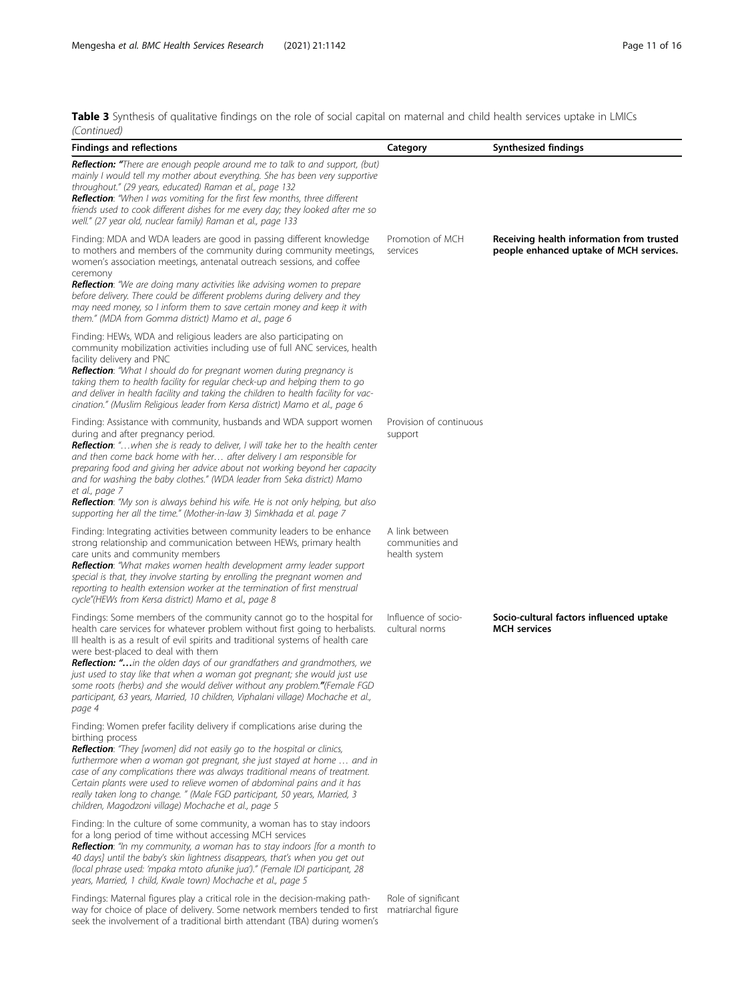seek the involvement of a traditional birth attendant (TBA) during women's

Table 3 Synthesis of qualitative findings on the role of social capital on maternal and child health services uptake in LMICs

| (Continued)                                                                                                                                                                                                                                                                                                                                                                                                                                                                                                                                                                                                         |                                                    |                                                                                      |
|---------------------------------------------------------------------------------------------------------------------------------------------------------------------------------------------------------------------------------------------------------------------------------------------------------------------------------------------------------------------------------------------------------------------------------------------------------------------------------------------------------------------------------------------------------------------------------------------------------------------|----------------------------------------------------|--------------------------------------------------------------------------------------|
| <b>Findings and reflections</b>                                                                                                                                                                                                                                                                                                                                                                                                                                                                                                                                                                                     | Category                                           | Synthesized findings                                                                 |
| <b>Reflection:</b> "There are enough people around me to talk to and support, (but)<br>mainly I would tell my mother about everything. She has been very supportive<br>throughout." (29 years, educated) Raman et al., page 132<br><b>Reflection</b> : "When I was vomiting for the first few months, three different<br>friends used to cook different dishes for me every day; they looked after me so<br>well." (27 year old, nuclear family) Raman et al., page 133                                                                                                                                             |                                                    |                                                                                      |
| Finding: MDA and WDA leaders are good in passing different knowledge<br>to mothers and members of the community during community meetings,<br>women's association meetings, antenatal outreach sessions, and coffee                                                                                                                                                                                                                                                                                                                                                                                                 | Promotion of MCH<br>services                       | Receiving health information from trusted<br>people enhanced uptake of MCH services. |
| ceremony<br>Reflection: "We are doing many activities like advising women to prepare<br>before delivery. There could be different problems during delivery and they<br>may need money, so I inform them to save certain money and keep it with<br>them." (MDA from Gomma district) Mamo et al., page 6                                                                                                                                                                                                                                                                                                              |                                                    |                                                                                      |
| Finding: HEWs, WDA and religious leaders are also participating on<br>community mobilization activities including use of full ANC services, health<br>facility delivery and PNC<br>Reflection: "What I should do for pregnant women during pregnancy is<br>taking them to health facility for regular check-up and helping them to go<br>and deliver in health facility and taking the children to health facility for vac-<br>cination." (Muslim Religious leader from Kersa district) Mamo et al., page 6                                                                                                         |                                                    |                                                                                      |
| Finding: Assistance with community, husbands and WDA support women<br>during and after pregnancy period.<br>Reflection: " when she is ready to deliver, I will take her to the health center<br>and then come back home with her after delivery I am responsible for<br>preparing food and giving her advice about not working beyond her capacity<br>and for washing the baby clothes." (WDA leader from Seka district) Mamo<br>et al., page 7<br>Reflection: "My son is always behind his wife. He is not only helping, but also<br>supporting her all the time." (Mother-in-law 3) Simkhada et al. page 7        | Provision of continuous<br>support                 |                                                                                      |
| Finding: Integrating activities between community leaders to be enhance<br>strong relationship and communication between HEWs, primary health<br>care units and community members<br>Reflection: "What makes women health development army leader support<br>special is that, they involve starting by enrolling the pregnant women and<br>reporting to health extension worker at the termination of first menstrual<br>cycle"(HEWs from Kersa district) Mamo et al., page 8                                                                                                                                       | A link between<br>communities and<br>health system |                                                                                      |
| Findings: Some members of the community cannot go to the hospital for<br>health care services for whatever problem without first going to herbalists.<br>Ill health is as a result of evil spirits and traditional systems of health care<br>were best-placed to deal with them<br>Reflection: "in the olden days of our grandfathers and grandmothers, we<br>just used to stay like that when a woman got pregnant; she would just use<br>some roots (herbs) and she would deliver without any problem." (Female FGD<br>participant, 63 years, Married, 10 children, Viphalani village) Mochache et al.,<br>page 4 | Influence of socio-<br>cultural norms              | Socio-cultural factors influenced uptake<br><b>MCH</b> services                      |
| Finding: Women prefer facility delivery if complications arise during the<br>birthing process<br>Reflection: "They [women] did not easily go to the hospital or clinics,<br>furthermore when a woman got pregnant, she just stayed at home  and in<br>case of any complications there was always traditional means of treatment.<br>Certain plants were used to relieve women of abdominal pains and it has<br>really taken long to change. " (Male FGD participant, 50 years, Married, 3<br>children, Magodzoni village) Mochache et al., page 5                                                                   |                                                    |                                                                                      |
| Finding: In the culture of some community, a woman has to stay indoors<br>for a long period of time without accessing MCH services<br><b>Reflection:</b> "In my community, a woman has to stay indoors [for a month to<br>40 days] until the baby's skin lightness disappears, that's when you get out<br>(local phrase used: 'mpaka mtoto afunike jua')." (Female IDI participant, 28<br>years, Married, 1 child, Kwale town) Mochache et al., page 5                                                                                                                                                              |                                                    |                                                                                      |
| Findings: Maternal figures play a critical role in the decision-making path-<br>way for choice of place of delivery. Some network members tended to first matriarchal figure                                                                                                                                                                                                                                                                                                                                                                                                                                        | Role of significant                                |                                                                                      |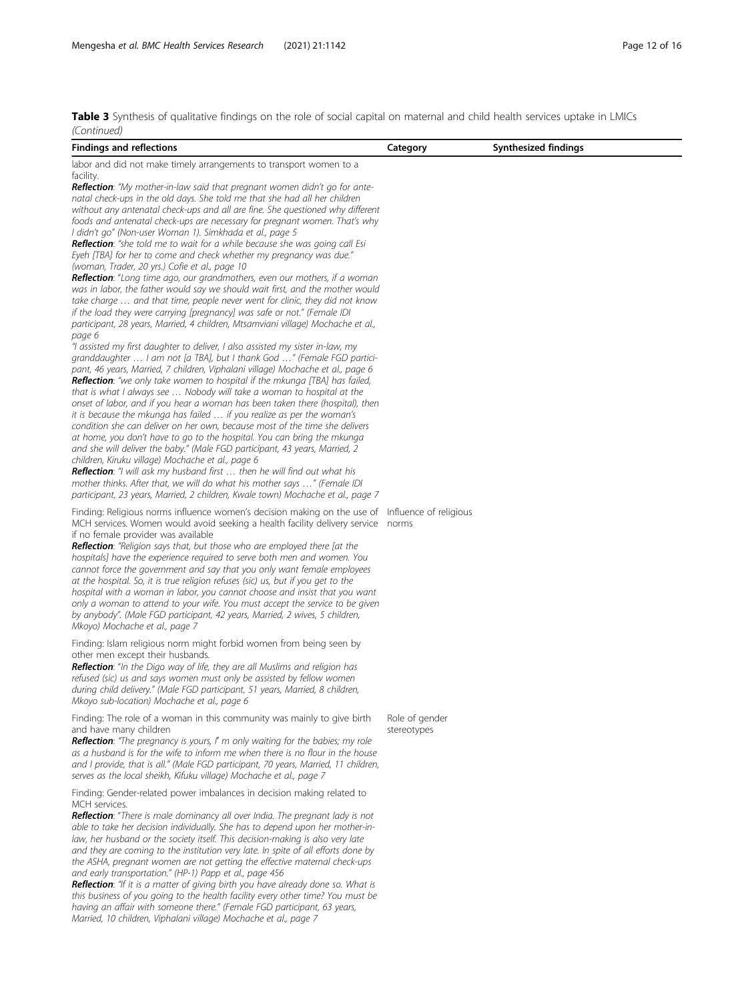Table 3 Synthesis of qualitative findings on the role of social capital on maternal and child health services uptake in LMICs

| (Continued)                                                                                                                                                                                                                                                                                                                                                                                                                                                                                                                                                                                                                                                                                                                                                                                                                                                                                                                                                                                                                                                                                                                                                                                                                                                                                                                                                                                                                                                                                                                                                                                                                                                                                                                                                                                                                                                                                                                                                                                                                                                                                                                                                                   |                |                      |
|-------------------------------------------------------------------------------------------------------------------------------------------------------------------------------------------------------------------------------------------------------------------------------------------------------------------------------------------------------------------------------------------------------------------------------------------------------------------------------------------------------------------------------------------------------------------------------------------------------------------------------------------------------------------------------------------------------------------------------------------------------------------------------------------------------------------------------------------------------------------------------------------------------------------------------------------------------------------------------------------------------------------------------------------------------------------------------------------------------------------------------------------------------------------------------------------------------------------------------------------------------------------------------------------------------------------------------------------------------------------------------------------------------------------------------------------------------------------------------------------------------------------------------------------------------------------------------------------------------------------------------------------------------------------------------------------------------------------------------------------------------------------------------------------------------------------------------------------------------------------------------------------------------------------------------------------------------------------------------------------------------------------------------------------------------------------------------------------------------------------------------------------------------------------------------|----------------|----------------------|
| <b>Findings and reflections</b>                                                                                                                                                                                                                                                                                                                                                                                                                                                                                                                                                                                                                                                                                                                                                                                                                                                                                                                                                                                                                                                                                                                                                                                                                                                                                                                                                                                                                                                                                                                                                                                                                                                                                                                                                                                                                                                                                                                                                                                                                                                                                                                                               | Category       | Synthesized findings |
| labor and did not make timely arrangements to transport women to a                                                                                                                                                                                                                                                                                                                                                                                                                                                                                                                                                                                                                                                                                                                                                                                                                                                                                                                                                                                                                                                                                                                                                                                                                                                                                                                                                                                                                                                                                                                                                                                                                                                                                                                                                                                                                                                                                                                                                                                                                                                                                                            |                |                      |
| facility.<br><b>Reflection</b> : "My mother-in-law said that pregnant women didn't go for ante-<br>natal check-ups in the old days. She told me that she had all her children<br>without any antenatal check-ups and all are fine. She questioned why different<br>foods and antenatal check-ups are necessary for pregnant women. That's why<br>I didn't go" (Non-user Woman 1). Simkhada et al., page 5<br><b>Reflection:</b> "she told me to wait for a while because she was going call Esi<br>Eyeh [TBA] for her to come and check whether my pregnancy was due."<br>(woman, Trader, 20 yrs.) Cofie et al., page 10<br>Reflection: "Long time ago, our grandmothers, even our mothers, if a woman<br>was in labor, the father would say we should wait first, and the mother would<br>take charge  and that time, people never went for clinic, they did not know<br>if the load they were carrying [pregnancy] was safe or not." (Female IDI<br>participant, 28 years, Married, 4 children, Mtsamviani village) Mochache et al.,<br>page 6<br>"I assisted my first daughter to deliver, I also assisted my sister in-law, my<br>granddaughter  I am not [a TBA], but I thank God " (Female FGD partici-<br>pant, 46 years, Married, 7 children, Viphalani village) Mochache et al., page 6<br><b>Reflection</b> : "we only take women to hospital if the mkunga [TBA] has failed,<br>that is what I always see  Nobody will take a woman to hospital at the<br>onset of labor, and if you hear a woman has been taken there (hospital), then<br>it is because the mkunga has failed  if you realize as per the woman's<br>condition she can deliver on her own, because most of the time she delivers<br>at home, you don't have to go to the hospital. You can bring the mkunga<br>and she will deliver the baby." (Male FGD participant, 43 years, Married, 2<br>children, Kiruku village) Mochache et al., page 6<br><b>Reflection</b> : "I will ask my husband first  then he will find out what his<br>mother thinks. After that, we will do what his mother says " (Female IDI<br>participant, 23 years, Married, 2 children, Kwale town) Mochache et al., page 7 |                |                      |
| Finding: Religious norms influence women's decision making on the use of Influence of religious<br>MCH services. Women would avoid seeking a health facility delivery service norms<br>if no female provider was available<br>Reflection: "Religion says that, but those who are employed there [at the<br>hospitals] have the experience required to serve both men and women. You<br>cannot force the government and say that you only want female employees<br>at the hospital. So, it is true religion refuses (sic) us, but if you get to the<br>hospital with a woman in labor, you cannot choose and insist that you want<br>only a woman to attend to your wife. You must accept the service to be given<br>by anybody". (Male FGD participant, 42 years, Married, 2 wives, 5 children,<br>Mkoyo) Mochache et al., page 7                                                                                                                                                                                                                                                                                                                                                                                                                                                                                                                                                                                                                                                                                                                                                                                                                                                                                                                                                                                                                                                                                                                                                                                                                                                                                                                                             |                |                      |
| Finding: Islam religious norm might forbid women from being seen by<br>other men except their husbands.<br>Reflection: "In the Digo way of life, they are all Muslims and religion has<br>refused (sic) us and says women must only be assisted by fellow women<br>during child delivery." (Male FGD participant, 51 years, Married, 8 children,<br>Mkoyo sub-location) Mochache et al., page 6                                                                                                                                                                                                                                                                                                                                                                                                                                                                                                                                                                                                                                                                                                                                                                                                                                                                                                                                                                                                                                                                                                                                                                                                                                                                                                                                                                                                                                                                                                                                                                                                                                                                                                                                                                               |                |                      |
| Finding: The role of a woman in this community was mainly to give birth                                                                                                                                                                                                                                                                                                                                                                                                                                                                                                                                                                                                                                                                                                                                                                                                                                                                                                                                                                                                                                                                                                                                                                                                                                                                                                                                                                                                                                                                                                                                                                                                                                                                                                                                                                                                                                                                                                                                                                                                                                                                                                       | Role of gender |                      |
| and have many children<br><b>Reflection:</b> "The pregnancy is yours, I' m only waiting for the babies; my role<br>as a husband is for the wife to inform me when there is no flour in the house<br>and I provide, that is all." (Male FGD participant, 70 years, Married, 11 children,<br>serves as the local sheikh, Kifuku village) Mochache et al., page 7                                                                                                                                                                                                                                                                                                                                                                                                                                                                                                                                                                                                                                                                                                                                                                                                                                                                                                                                                                                                                                                                                                                                                                                                                                                                                                                                                                                                                                                                                                                                                                                                                                                                                                                                                                                                                | stereotypes    |                      |
| Finding: Gender-related power imbalances in decision making related to<br>MCH services.<br><b>Reflection:</b> "There is male dominancy all over India. The pregnant lady is not<br>able to take her decision individually. She has to depend upon her mother-in-<br>law, her husband or the society itself. This decision-making is also very late<br>and they are coming to the institution very late. In spite of all efforts done by<br>the ASHA, pregnant women are not getting the effective maternal check-ups<br>and early transportation." (HP-1) Papp et al., page 456<br>Reflection: "If it is a matter of giving birth you have already done so. What is<br>this business of you going to the health facility every other time? You must be<br>having an affair with someone there." (Female FGD participant, 63 years,<br>Married, 10 children, Viphalani village) Mochache et al., page 7                                                                                                                                                                                                                                                                                                                                                                                                                                                                                                                                                                                                                                                                                                                                                                                                                                                                                                                                                                                                                                                                                                                                                                                                                                                                        |                |                      |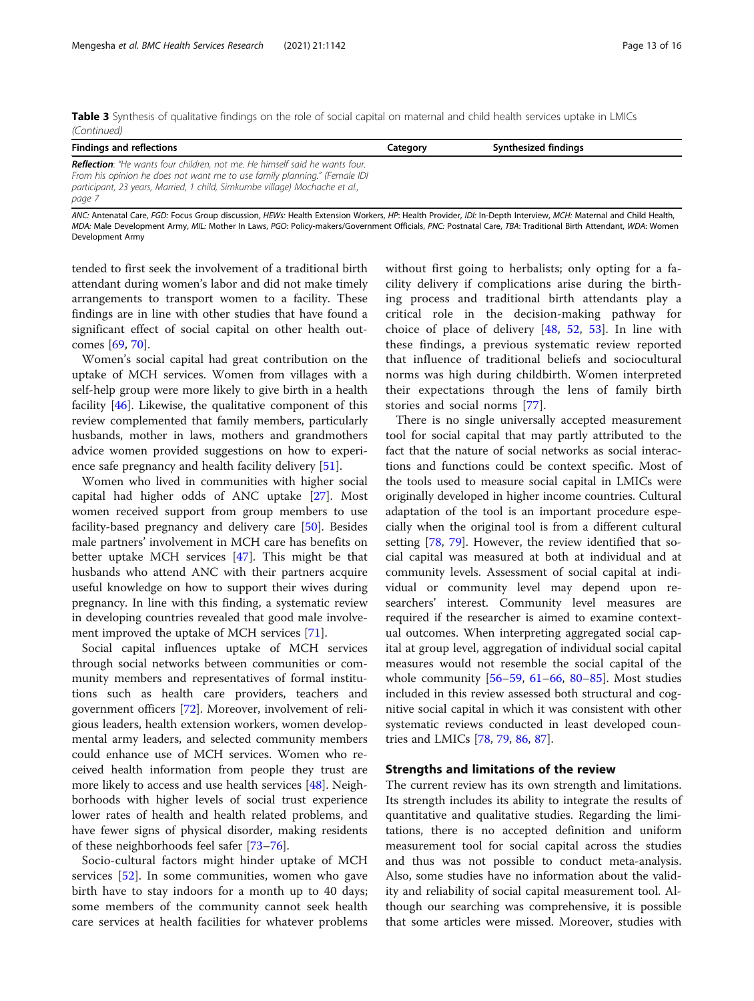Table 3 Synthesis of qualitative findings on the role of social capital on maternal and child health services uptake in LMICs (Continued)

| <b>Findings and reflections</b>                                                                                                                                                                                                                 | Category | Synthesized findings |
|-------------------------------------------------------------------------------------------------------------------------------------------------------------------------------------------------------------------------------------------------|----------|----------------------|
| <b>Reflection</b> : "He wants four children, not me. He himself said he wants four.<br>From his opinion he does not want me to use family planning." (Female IDI<br>participant, 23 years, Married, 1 child, Simkumbe village) Mochache et al., |          |                      |
| page 7                                                                                                                                                                                                                                          |          |                      |

ANC: Antenatal Care, FGD: Focus Group discussion, HEWs: Health Extension Workers, HP: Health Provider, IDI: In-Depth Interview, MCH: Maternal and Child Health, MDA: Male Development Army, MIL: Mother In Laws, PGO: Policy-makers/Government Officials, PNC: Postnatal Care, TBA: Traditional Birth Attendant, WDA: Women Development Army

tended to first seek the involvement of a traditional birth attendant during women's labor and did not make timely arrangements to transport women to a facility. These findings are in line with other studies that have found a significant effect of social capital on other health outcomes [[69](#page-15-0), [70](#page-15-0)].

Women's social capital had great contribution on the uptake of MCH services. Women from villages with a self-help group were more likely to give birth in a health facility [[46](#page-14-0)]. Likewise, the qualitative component of this review complemented that family members, particularly husbands, mother in laws, mothers and grandmothers advice women provided suggestions on how to experience safe pregnancy and health facility delivery [\[51](#page-14-0)].

Women who lived in communities with higher social capital had higher odds of ANC uptake [[27\]](#page-14-0). Most women received support from group members to use facility-based pregnancy and delivery care [[50\]](#page-14-0). Besides male partners' involvement in MCH care has benefits on better uptake MCH services [[47\]](#page-14-0). This might be that husbands who attend ANC with their partners acquire useful knowledge on how to support their wives during pregnancy. In line with this finding, a systematic review in developing countries revealed that good male involvement improved the uptake of MCH services [[71](#page-15-0)].

Social capital influences uptake of MCH services through social networks between communities or community members and representatives of formal institutions such as health care providers, teachers and government officers [\[72\]](#page-15-0). Moreover, involvement of religious leaders, health extension workers, women developmental army leaders, and selected community members could enhance use of MCH services. Women who received health information from people they trust are more likely to access and use health services [[48](#page-14-0)]. Neighborhoods with higher levels of social trust experience lower rates of health and health related problems, and have fewer signs of physical disorder, making residents of these neighborhoods feel safer [[73](#page-15-0)–[76](#page-15-0)].

Socio-cultural factors might hinder uptake of MCH services [\[52](#page-14-0)]. In some communities, women who gave birth have to stay indoors for a month up to 40 days; some members of the community cannot seek health care services at health facilities for whatever problems without first going to herbalists; only opting for a facility delivery if complications arise during the birthing process and traditional birth attendants play a critical role in the decision-making pathway for choice of place of delivery [[48,](#page-14-0) [52,](#page-14-0) [53](#page-14-0)]. In line with these findings, a previous systematic review reported that influence of traditional beliefs and sociocultural norms was high during childbirth. Women interpreted their expectations through the lens of family birth stories and social norms [[77](#page-15-0)].

There is no single universally accepted measurement tool for social capital that may partly attributed to the fact that the nature of social networks as social interactions and functions could be context specific. Most of the tools used to measure social capital in LMICs were originally developed in higher income countries. Cultural adaptation of the tool is an important procedure especially when the original tool is from a different cultural setting [\[78,](#page-15-0) [79\]](#page-15-0). However, the review identified that social capital was measured at both at individual and at community levels. Assessment of social capital at individual or community level may depend upon researchers' interest. Community level measures are required if the researcher is aimed to examine contextual outcomes. When interpreting aggregated social capital at group level, aggregation of individual social capital measures would not resemble the social capital of the whole community  $[56-59, 61-66, 80-85]$  $[56-59, 61-66, 80-85]$  $[56-59, 61-66, 80-85]$  $[56-59, 61-66, 80-85]$  $[56-59, 61-66, 80-85]$  $[56-59, 61-66, 80-85]$  $[56-59, 61-66, 80-85]$  $[56-59, 61-66, 80-85]$  $[56-59, 61-66, 80-85]$  $[56-59, 61-66, 80-85]$  $[56-59, 61-66, 80-85]$  $[56-59, 61-66, 80-85]$ . Most studies included in this review assessed both structural and cognitive social capital in which it was consistent with other systematic reviews conducted in least developed countries and LMICs [[78](#page-15-0), [79](#page-15-0), [86](#page-15-0), [87](#page-15-0)].

#### Strengths and limitations of the review

The current review has its own strength and limitations. Its strength includes its ability to integrate the results of quantitative and qualitative studies. Regarding the limitations, there is no accepted definition and uniform measurement tool for social capital across the studies and thus was not possible to conduct meta-analysis. Also, some studies have no information about the validity and reliability of social capital measurement tool. Although our searching was comprehensive, it is possible that some articles were missed. Moreover, studies with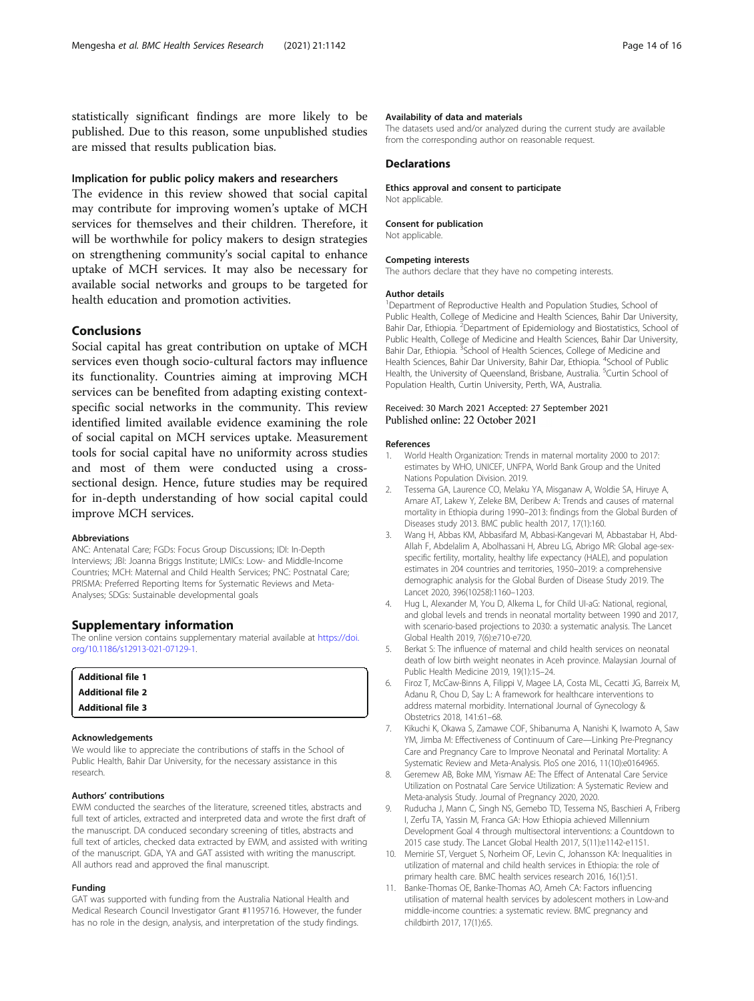<span id="page-13-0"></span>statistically significant findings are more likely to be published. Due to this reason, some unpublished studies are missed that results publication bias.

## Implication for public policy makers and researchers

The evidence in this review showed that social capital may contribute for improving women's uptake of MCH services for themselves and their children. Therefore, it will be worthwhile for policy makers to design strategies on strengthening community's social capital to enhance uptake of MCH services. It may also be necessary for available social networks and groups to be targeted for health education and promotion activities.

## Conclusions

Social capital has great contribution on uptake of MCH services even though socio-cultural factors may influence its functionality. Countries aiming at improving MCH services can be benefited from adapting existing contextspecific social networks in the community. This review identified limited available evidence examining the role of social capital on MCH services uptake. Measurement tools for social capital have no uniformity across studies and most of them were conducted using a crosssectional design. Hence, future studies may be required for in-depth understanding of how social capital could improve MCH services.

#### Abbreviations

ANC: Antenatal Care; FGDs: Focus Group Discussions; IDI: In-Depth Interviews; JBI: Joanna Briggs Institute; LMICs: Low- and Middle-Income Countries; MCH: Maternal and Child Health Services; PNC: Postnatal Care; PRISMA: Preferred Reporting Items for Systematic Reviews and Meta-Analyses; SDGs: Sustainable developmental goals

#### Supplementary information

The online version contains supplementary material available at [https://doi.](https://doi.org/10.1186/s12913-021-07129-1) [org/10.1186/s12913-021-07129-1.](https://doi.org/10.1186/s12913-021-07129-1)

| <b>Additional file 1</b> |  |
|--------------------------|--|
| <b>Additional file 2</b> |  |
| <b>Additional file 3</b> |  |

#### Acknowledgements

We would like to appreciate the contributions of staffs in the School of Public Health, Bahir Dar University, for the necessary assistance in this research.

#### Authors' contributions

EWM conducted the searches of the literature, screened titles, abstracts and full text of articles, extracted and interpreted data and wrote the first draft of the manuscript. DA conduced secondary screening of titles, abstracts and full text of articles, checked data extracted by EWM, and assisted with writing of the manuscript. GDA, YA and GAT assisted with writing the manuscript. All authors read and approved the final manuscript.

#### Funding

GAT was supported with funding from the Australia National Health and Medical Research Council Investigator Grant #1195716. However, the funder has no role in the design, analysis, and interpretation of the study findings.

#### Availability of data and materials

The datasets used and/or analyzed during the current study are available from the corresponding author on reasonable request.

#### **Declarations**

Ethics approval and consent to participate Not applicable.

#### Consent for publication

Not applicable.

#### Competing interests

The authors declare that they have no competing interests.

#### Author details

<sup>1</sup>Department of Reproductive Health and Population Studies, School of Public Health, College of Medicine and Health Sciences, Bahir Dar University, Bahir Dar, Ethiopia. <sup>2</sup> Department of Epidemiology and Biostatistics, School of Public Health, College of Medicine and Health Sciences, Bahir Dar University, Bahir Dar, Ethiopia. <sup>3</sup> School of Health Sciences, College of Medicine and Health Sciences, Bahir Dar University, Bahir Dar, Ethiopia. <sup>4</sup>School of Public Health, the University of Queensland, Brisbane, Australia. <sup>5</sup>Curtin School of Population Health, Curtin University, Perth, WA, Australia.

## Received: 30 March 2021 Accepted: 27 September 2021 Published online: 22 October 2021

#### References

- 1. World Health Organization: Trends in maternal mortality 2000 to 2017: estimates by WHO, UNICEF, UNFPA, World Bank Group and the United Nations Population Division. 2019.
- 2. Tessema GA, Laurence CO, Melaku YA, Misganaw A, Woldie SA, Hiruye A, Amare AT, Lakew Y, Zeleke BM, Deribew A: Trends and causes of maternal mortality in Ethiopia during 1990–2013: findings from the Global Burden of Diseases study 2013. BMC public health 2017, 17(1):160.
- 3. Wang H, Abbas KM, Abbasifard M, Abbasi-Kangevari M, Abbastabar H, Abd-Allah F, Abdelalim A, Abolhassani H, Abreu LG, Abrigo MR: Global age-sexspecific fertility, mortality, healthy life expectancy (HALE), and population estimates in 204 countries and territories, 1950–2019: a comprehensive demographic analysis for the Global Burden of Disease Study 2019. The Lancet 2020, 396(10258):1160–1203.
- 4. Hug L, Alexander M, You D, Alkema L, for Child UI-aG: National, regional, and global levels and trends in neonatal mortality between 1990 and 2017, with scenario-based projections to 2030: a systematic analysis. The Lancet Global Health 2019, 7(6):e710-e720.
- 5. Berkat S: The influence of maternal and child health services on neonatal death of low birth weight neonates in Aceh province. Malaysian Journal of Public Health Medicine 2019, 19(1):15–24.
- 6. Firoz T, McCaw-Binns A, Filippi V, Magee LA, Costa ML, Cecatti JG, Barreix M, Adanu R, Chou D, Say L: A framework for healthcare interventions to address maternal morbidity. International Journal of Gynecology & Obstetrics 2018, 141:61–68.
- 7. Kikuchi K, Okawa S, Zamawe COF, Shibanuma A, Nanishi K, Iwamoto A, Saw YM, Jimba M: Effectiveness of Continuum of Care—Linking Pre-Pregnancy Care and Pregnancy Care to Improve Neonatal and Perinatal Mortality: A Systematic Review and Meta-Analysis. PloS one 2016, 11(10):e0164965.
- 8. Geremew AB, Boke MM, Yismaw AE: The Effect of Antenatal Care Service Utilization on Postnatal Care Service Utilization: A Systematic Review and Meta-analysis Study. Journal of Pregnancy 2020, 2020.
- 9. Ruducha J, Mann C, Singh NS, Gemebo TD, Tessema NS, Baschieri A, Friberg I, Zerfu TA, Yassin M, Franca GA: How Ethiopia achieved Millennium Development Goal 4 through multisectoral interventions: a Countdown to 2015 case study. The Lancet Global Health 2017, 5(11):e1142-e1151.
- 10. Memirie ST, Verguet S, Norheim OF, Levin C, Johansson KA: Inequalities in utilization of maternal and child health services in Ethiopia: the role of primary health care. BMC health services research 2016, 16(1):51.
- 11. Banke-Thomas OE, Banke-Thomas AO, Ameh CA: Factors influencing utilisation of maternal health services by adolescent mothers in Low-and middle-income countries: a systematic review. BMC pregnancy and childbirth 2017, 17(1):65.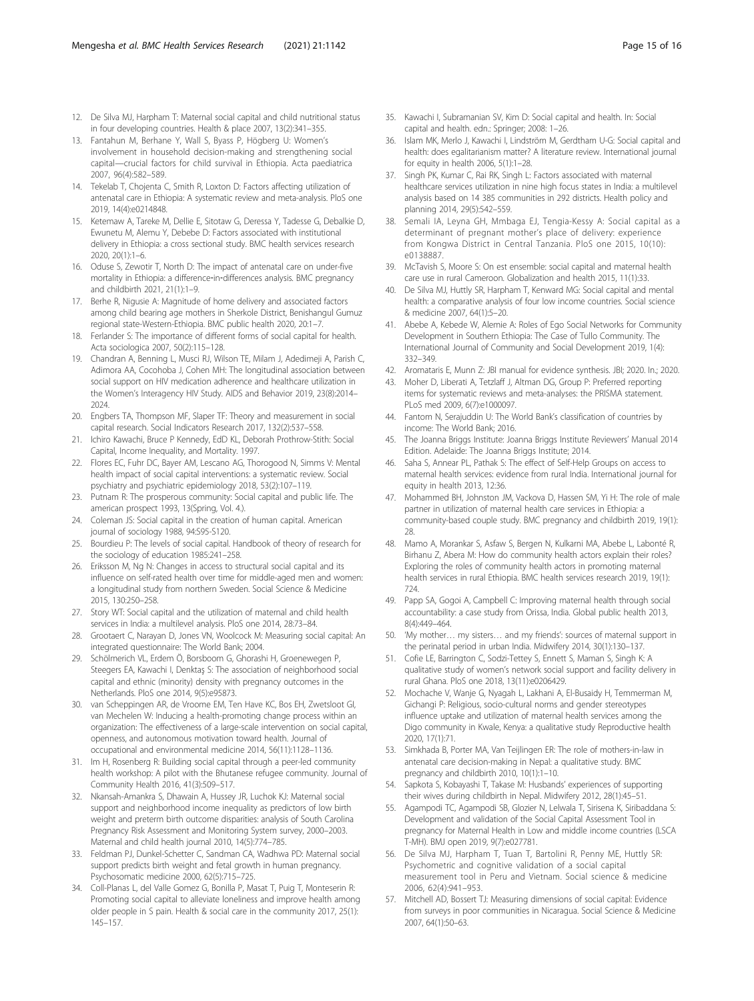- <span id="page-14-0"></span>12. De Silva MJ, Harpham T: Maternal social capital and child nutritional status in four developing countries. Health & place 2007, 13(2):341–355.
- 13. Fantahun M, Berhane Y, Wall S, Byass P, Högberg U: Women's involvement in household decision-making and strengthening social capital—crucial factors for child survival in Ethiopia. Acta paediatrica 2007, 96(4):582–589.
- 14. Tekelab T, Chojenta C, Smith R, Loxton D: Factors affecting utilization of antenatal care in Ethiopia: A systematic review and meta-analysis. PloS one 2019, 14(4):e0214848.
- 15. Ketemaw A, Tareke M, Dellie E, Sitotaw G, Deressa Y, Tadesse G, Debalkie D, Ewunetu M, Alemu Y, Debebe D: Factors associated with institutional delivery in Ethiopia: a cross sectional study. BMC health services research 2020, 20(1):1–6.
- 16. Oduse S, Zewotir T, North D: The impact of antenatal care on under-five mortality in Ethiopia: a difference‐in‐differences analysis. BMC pregnancy and childbirth 2021, 21(1):1–9.
- 17. Berhe R, Nigusie A: Magnitude of home delivery and associated factors among child bearing age mothers in Sherkole District, Benishangul Gumuz regional state-Western-Ethiopia. BMC public health 2020, 20:1–7.
- 18. Ferlander S: The importance of different forms of social capital for health. Acta sociologica 2007, 50(2):115–128.
- 19. Chandran A, Benning L, Musci RJ, Wilson TE, Milam J, Adedimeji A, Parish C, Adimora AA, Cocohoba J, Cohen MH: The longitudinal association between social support on HIV medication adherence and healthcare utilization in the Women's Interagency HIV Study. AIDS and Behavior 2019, 23(8):2014– 2024.
- 20. Engbers TA, Thompson MF, Slaper TF: Theory and measurement in social capital research. Social Indicators Research 2017, 132(2):537–558.
- 21. Ichiro Kawachi, Bruce P Kennedy, EdD KL, Deborah Prothrow-Stith: Social Capital, Income Inequality, and Mortality. 1997.
- 22. Flores EC, Fuhr DC, Bayer AM, Lescano AG, Thorogood N, Simms V: Mental health impact of social capital interventions: a systematic review. Social psychiatry and psychiatric epidemiology 2018, 53(2):107–119.
- 23. Putnam R: The prosperous community: Social capital and public life. The american prospect 1993, 13(Spring, Vol. 4.).
- 24. Coleman JS: Social capital in the creation of human capital. American journal of sociology 1988, 94:S95-S120.
- 25. Bourdieu P: The levels of social capital. Handbook of theory of research for the sociology of education 1985:241–258.
- 26. Eriksson M, Ng N: Changes in access to structural social capital and its influence on self-rated health over time for middle-aged men and women: a longitudinal study from northern Sweden. Social Science & Medicine 2015, 130:250–258.
- 27. Story WT: Social capital and the utilization of maternal and child health services in India: a multilevel analysis. PloS one 2014, 28:73–84.
- 28. Grootaert C, Narayan D, Jones VN, Woolcock M: Measuring social capital: An integrated questionnaire: The World Bank; 2004.
- 29. Schölmerich VL, Erdem Ö, Borsboom G, Ghorashi H, Groenewegen P, Steegers EA, Kawachi I, Denktaş S: The association of neighborhood social capital and ethnic (minority) density with pregnancy outcomes in the Netherlands. PloS one 2014, 9(5):e95873.
- 30. van Scheppingen AR, de Vroome EM, Ten Have KC, Bos EH, Zwetsloot GI, van Mechelen W: Inducing a health-promoting change process within an organization: The effectiveness of a large-scale intervention on social capital, openness, and autonomous motivation toward health. Journal of occupational and environmental medicine 2014, 56(11):1128–1136.
- 31. Im H, Rosenberg R: Building social capital through a peer-led community health workshop: A pilot with the Bhutanese refugee community. Journal of Community Health 2016, 41(3):509–517.
- 32. Nkansah-Amankra S, Dhawain A, Hussey JR, Luchok KJ: Maternal social support and neighborhood income inequality as predictors of low birth weight and preterm birth outcome disparities: analysis of South Carolina Pregnancy Risk Assessment and Monitoring System survey, 2000–2003. Maternal and child health journal 2010, 14(5):774–785.
- 33. Feldman PJ, Dunkel-Schetter C, Sandman CA, Wadhwa PD: Maternal social support predicts birth weight and fetal growth in human pregnancy. Psychosomatic medicine 2000, 62(5):715–725.
- 34. Coll-Planas L, del Valle Gomez G, Bonilla P, Masat T, Puig T, Monteserin R: Promoting social capital to alleviate loneliness and improve health among older people in S pain. Health & social care in the community 2017, 25(1): 145–157.
- 35. Kawachi I, Subramanian SV, Kim D: Social capital and health. In: Social capital and health. edn.: Springer; 2008: 1–26.
- 36. Islam MK, Merlo J, Kawachi I, Lindström M, Gerdtham U-G: Social capital and health: does egalitarianism matter? A literature review. International journal for equity in health 2006, 5(1):1–28.
- 37. Singh PK, Kumar C, Rai RK, Singh L: Factors associated with maternal healthcare services utilization in nine high focus states in India: a multilevel analysis based on 14 385 communities in 292 districts. Health policy and planning 2014, 29(5):542–559.
- 38. Semali IA, Leyna GH, Mmbaga EJ, Tengia-Kessy A: Social capital as a determinant of pregnant mother's place of delivery: experience from Kongwa District in Central Tanzania. PloS one 2015, 10(10): e0138887.
- 39. McTavish S, Moore S: On est ensemble: social capital and maternal health care use in rural Cameroon. Globalization and health 2015, 11(1):33.
- 40. De Silva MJ, Huttly SR, Harpham T, Kenward MG: Social capital and mental health: a comparative analysis of four low income countries. Social science & medicine 2007, 64(1):5–20.
- 41. Abebe A, Kebede W, Alemie A: Roles of Ego Social Networks for Community Development in Southern Ethiopia: The Case of Tullo Community. The International Journal of Community and Social Development 2019, 1(4): 332–349.
- 42. Aromataris E, Munn Z: JBI manual for evidence synthesis. JBI; 2020. In.; 2020.
- 43. Moher D, Liberati A, Tetzlaff J, Altman DG, Group P: Preferred reporting items for systematic reviews and meta-analyses: the PRISMA statement. PLoS med 2009, 6(7):e1000097.
- 44. Fantom N, Serajuddin U: The World Bank's classification of countries by income: The World Bank; 2016.
- 45. The Joanna Briggs Institute: Joanna Briggs Institute Reviewers' Manual 2014 Edition. Adelaide: The Joanna Briggs Institute; 2014.
- 46. Saha S, Annear PL, Pathak S: The effect of Self-Help Groups on access to maternal health services: evidence from rural India. International journal for equity in health 2013, 12:36.
- 47. Mohammed BH, Johnston JM, Vackova D, Hassen SM, Yi H: The role of male partner in utilization of maternal health care services in Ethiopia: a community-based couple study. BMC pregnancy and childbirth 2019, 19(1): 28.
- 48. Mamo A, Morankar S, Asfaw S, Bergen N, Kulkarni MA, Abebe L, Labonté R, Birhanu Z, Abera M: How do community health actors explain their roles? Exploring the roles of community health actors in promoting maternal health services in rural Ethiopia. BMC health services research 2019, 19(1): 724.
- 49. Papp SA, Gogoi A, Campbell C: Improving maternal health through social accountability: a case study from Orissa, India. Global public health 2013, 8(4):449–464.
- 50. 'My mother… my sisters… and my friends': sources of maternal support in the perinatal period in urban India. Midwifery 2014, 30(1):130–137.
- 51. Cofie LE, Barrington C, Sodzi-Tettey S, Ennett S, Maman S, Singh K: A qualitative study of women's network social support and facility delivery in rural Ghana. PloS one 2018, 13(11):e0206429.
- 52. Mochache V, Wanje G, Nyagah L, Lakhani A, El-Busaidy H, Temmerman M, Gichangi P: Religious, socio-cultural norms and gender stereotypes influence uptake and utilization of maternal health services among the Digo community in Kwale, Kenya: a qualitative study Reproductive health 2020, 17(1):71.
- 53. Simkhada B, Porter MA, Van Teijlingen ER: The role of mothers-in-law in antenatal care decision-making in Nepal: a qualitative study. BMC pregnancy and childbirth 2010, 10(1):1–10.
- 54. Sapkota S, Kobayashi T, Takase M: Husbands' experiences of supporting their wives during childbirth in Nepal. Midwifery 2012, 28(1):45–51.
- 55. Agampodi TC, Agampodi SB, Glozier N, Lelwala T, Sirisena K, Siribaddana S: Development and validation of the Social Capital Assessment Tool in pregnancy for Maternal Health in Low and middle income countries (LSCA T-MH). BMJ open 2019, 9(7):e027781.
- 56. De Silva MJ, Harpham T, Tuan T, Bartolini R, Penny ME, Huttly SR: Psychometric and cognitive validation of a social capital measurement tool in Peru and Vietnam. Social science & medicine 2006, 62(4):941–953.
- 57. Mitchell AD, Bossert TJ: Measuring dimensions of social capital: Evidence from surveys in poor communities in Nicaragua. Social Science & Medicine 2007, 64(1):50–63.